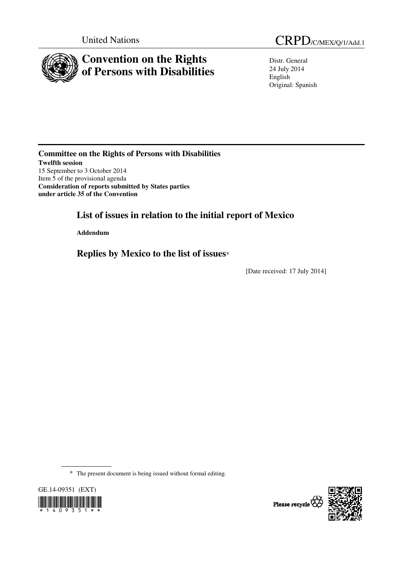

Distr. General 24 July 2014 English Original: Spanish

**Committee on the Rights of Persons with Disabilities Twelfth session**  15 September to 3 October 2014 Item 5 of the provisional agenda **Consideration of reports submitted by States parties under article 35 of the Convention**

 **List of issues in relation to the initial report of Mexico** 

 **Addendum** 

 **Replies by Mexico to the list of issues**\*

[Date received: 17 July 2014]

\* The present document is being issued without formal editing.



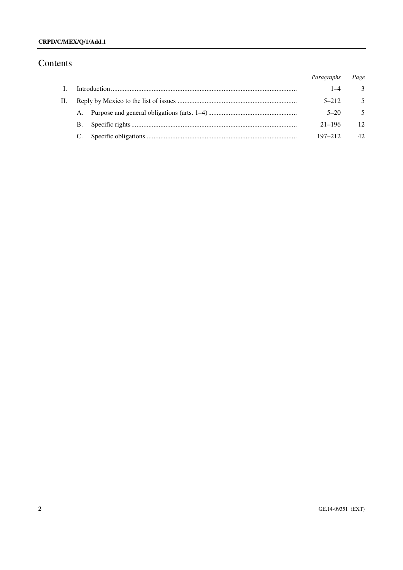## **CRPD/C/MEX/Q/1/Add.1**

# Contents

|    |           | Paragraphs  | Page           |
|----|-----------|-------------|----------------|
|    |           | $1 - 4$     | 3              |
| П. |           | $5 - 212$   | $\overline{5}$ |
|    |           | $5 - 20$    | 5              |
|    | <b>B.</b> | $21 - 196$  | 12             |
|    |           | $197 - 212$ | $42^{\circ}$   |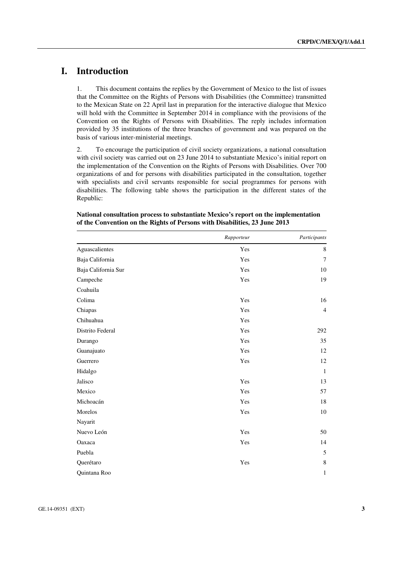# **I. Introduction**

1. This document contains the replies by the Government of Mexico to the list of issues that the Committee on the Rights of Persons with Disabilities (the Committee) transmitted to the Mexican State on 22 April last in preparation for the interactive dialogue that Mexico will hold with the Committee in September 2014 in compliance with the provisions of the Convention on the Rights of Persons with Disabilities. The reply includes information provided by 35 institutions of the three branches of government and was prepared on the basis of various inter-ministerial meetings.

2. To encourage the participation of civil society organizations, a national consultation with civil society was carried out on 23 June 2014 to substantiate Mexico's initial report on the implementation of the Convention on the Rights of Persons with Disabilities. Over 700 organizations of and for persons with disabilities participated in the consultation, together with specialists and civil servants responsible for social programmes for persons with disabilities. The following table shows the participation in the different states of the Republic:

|                     | Rapporteur | Participants   |
|---------------------|------------|----------------|
| Aguascalientes      | Yes        | 8              |
| Baja California     | Yes        | $\overline{7}$ |
| Baja California Sur | Yes        | 10             |
| Campeche            | Yes        | 19             |
| Coahuila            |            |                |
| Colima              | Yes        | 16             |
| Chiapas             | Yes        | $\overline{4}$ |
| Chihuahua           | Yes        |                |
| Distrito Federal    | Yes        | 292            |
| Durango             | Yes        | 35             |
| Guanajuato          | Yes        | 12             |
| Guerrero            | Yes        | 12             |
| Hidalgo             |            | $\mathbf{1}$   |
| Jalisco             | Yes        | 13             |
| Mexico              | Yes        | 57             |
| Michoacán           | Yes        | 18             |
| Morelos             | Yes        | 10             |
| Nayarit             |            |                |
| Nuevo León          | Yes        | 50             |
| Oaxaca              | Yes        | 14             |
| Puebla              |            | 5              |
| Querétaro           | Yes        | 8              |
| Quintana Roo        |            | 1              |

#### **National consultation process to substantiate Mexico's report on the implementation of the Convention on the Rights of Persons with Disabilities, 23 June 2013**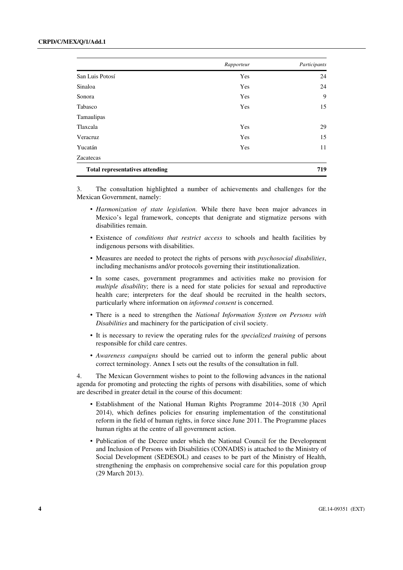|                                        | Rapporteur | Participants |
|----------------------------------------|------------|--------------|
| San Luis Potosí                        | Yes        | 24           |
| Sinaloa                                | Yes        | 24           |
| Sonora                                 | Yes        | 9            |
| Tabasco                                | Yes        | 15           |
| Tamaulipas                             |            |              |
| Tlaxcala                               | Yes        | 29           |
| Veracruz                               | Yes        | 15           |
| Yucatán                                | Yes        | 11           |
| Zacatecas                              |            |              |
| <b>Total representatives attending</b> |            | 719          |

3. The consultation highlighted a number of achievements and challenges for the Mexican Government, namely:

- *Harmonization of state legislation.* While there have been major advances in Mexico's legal framework, concepts that denigrate and stigmatize persons with disabilities remain.
- Existence of *conditions that restrict access* to schools and health facilities by indigenous persons with disabilities.
- Measures are needed to protect the rights of persons with *psychosocial disabilities*, including mechanisms and/or protocols governing their institutionalization.
- In some cases, government programmes and activities make no provision for *multiple disability*; there is a need for state policies for sexual and reproductive health care; interpreters for the deaf should be recruited in the health sectors, particularly where information on *informed consent* is concerned.
- There is a need to strengthen the *National Information System on Persons with Disabilities* and machinery for the participation of civil society.
- It is necessary to review the operating rules for the *specialized training* of persons responsible for child care centres.
- *Awareness campaigns* should be carried out to inform the general public about correct terminology. Annex I sets out the results of the consultation in full.

4. The Mexican Government wishes to point to the following advances in the national agenda for promoting and protecting the rights of persons with disabilities, some of which are described in greater detail in the course of this document:

- Establishment of the National Human Rights Programme 2014–2018 (30 April 2014), which defines policies for ensuring implementation of the constitutional reform in the field of human rights, in force since June 2011. The Programme places human rights at the centre of all government action.
- Publication of the Decree under which the National Council for the Development and Inclusion of Persons with Disabilities (CONADIS) is attached to the Ministry of Social Development (SEDESOL) and ceases to be part of the Ministry of Health, strengthening the emphasis on comprehensive social care for this population group (29 March 2013).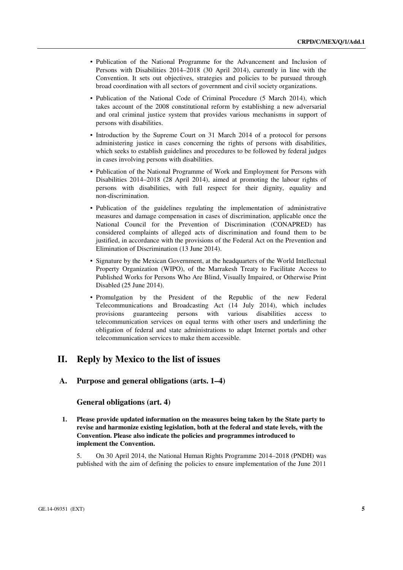- Publication of the National Programme for the Advancement and Inclusion of Persons with Disabilities 2014–2018 (30 April 2014), currently in line with the Convention. It sets out objectives, strategies and policies to be pursued through broad coordination with all sectors of government and civil society organizations.
- Publication of the National Code of Criminal Procedure (5 March 2014), which takes account of the 2008 constitutional reform by establishing a new adversarial and oral criminal justice system that provides various mechanisms in support of persons with disabilities.
- Introduction by the Supreme Court on 31 March 2014 of a protocol for persons administering justice in cases concerning the rights of persons with disabilities, which seeks to establish guidelines and procedures to be followed by federal judges in cases involving persons with disabilities.
- Publication of the National Programme of Work and Employment for Persons with Disabilities 2014–2018 (28 April 2014), aimed at promoting the labour rights of persons with disabilities, with full respect for their dignity, equality and non-discrimination.
- Publication of the guidelines regulating the implementation of administrative measures and damage compensation in cases of discrimination, applicable once the National Council for the Prevention of Discrimination (CONAPRED) has considered complaints of alleged acts of discrimination and found them to be justified, in accordance with the provisions of the Federal Act on the Prevention and Elimination of Discrimination (13 June 2014).
- Signature by the Mexican Government, at the headquarters of the World Intellectual Property Organization (WIPO), of the Marrakesh Treaty to Facilitate Access to Published Works for Persons Who Are Blind, Visually Impaired, or Otherwise Print Disabled (25 June 2014).
- Promulgation by the President of the Republic of the new Federal Telecommunications and Broadcasting Act (14 July 2014), which includes provisions guaranteeing persons with various disabilities access to telecommunication services on equal terms with other users and underlining the obligation of federal and state administrations to adapt Internet portals and other telecommunication services to make them accessible.

## **II. Reply by Mexico to the list of issues**

## **A. Purpose and general obligations (arts. 1–4)**

#### **General obligations (art. 4)**

 **1. Please provide updated information on the measures being taken by the State party to revise and harmonize existing legislation, both at the federal and state levels, with the Convention. Please also indicate the policies and programmes introduced to implement the Convention.** 

5. On 30 April 2014, the National Human Rights Programme 2014–2018 (PNDH) was published with the aim of defining the policies to ensure implementation of the June 2011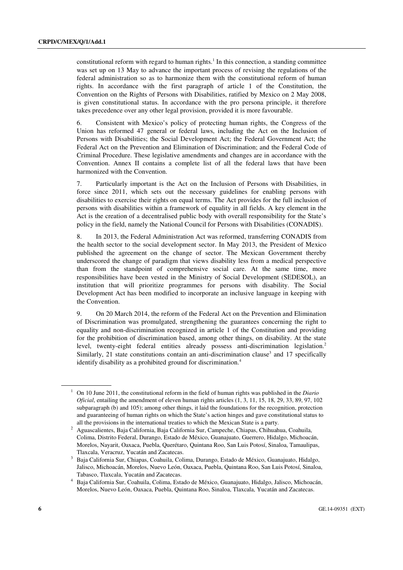constitutional reform with regard to human rights.<sup>1</sup> In this connection, a standing committee was set up on 13 May to advance the important process of revising the regulations of the federal administration so as to harmonize them with the constitutional reform of human rights. In accordance with the first paragraph of article 1 of the Constitution, the Convention on the Rights of Persons with Disabilities, ratified by Mexico on 2 May 2008, is given constitutional status. In accordance with the pro persona principle, it therefore takes precedence over any other legal provision, provided it is more favourable.

6. Consistent with Mexico's policy of protecting human rights, the Congress of the Union has reformed 47 general or federal laws, including the Act on the Inclusion of Persons with Disabilities; the Social Development Act; the Federal Government Act; the Federal Act on the Prevention and Elimination of Discrimination; and the Federal Code of Criminal Procedure. These legislative amendments and changes are in accordance with the Convention. Annex II contains a complete list of all the federal laws that have been harmonized with the Convention.

7. Particularly important is the Act on the Inclusion of Persons with Disabilities, in force since 2011, which sets out the necessary guidelines for enabling persons with disabilities to exercise their rights on equal terms. The Act provides for the full inclusion of persons with disabilities within a framework of equality in all fields. A key element in the Act is the creation of a decentralised public body with overall responsibility for the State's policy in the field, namely the National Council for Persons with Disabilities (CONADIS).

8. In 2013, the Federal Administration Act was reformed, transferring CONADIS from the health sector to the social development sector. In May 2013, the President of Mexico published the agreement on the change of sector. The Mexican Government thereby underscored the change of paradigm that views disability less from a medical perspective than from the standpoint of comprehensive social care. At the same time, more responsibilities have been vested in the Ministry of Social Development (SEDESOL), an institution that will prioritize programmes for persons with disability. The Social Development Act has been modified to incorporate an inclusive language in keeping with the Convention.

9. On 20 March 2014, the reform of the Federal Act on the Prevention and Elimination of Discrimination was promulgated, strengthening the guarantees concerning the right to equality and non-discrimination recognized in article 1 of the Constitution and providing for the prohibition of discrimination based, among other things, on disability. At the state level, twenty-eight federal entities already possess anti-discrimination legislation.<sup>2</sup> Similarly, 21 state constitutions contain an anti-discrimination clause<sup>3</sup> and 17 specifically identify disability as a prohibited ground for discrimination.<sup>4</sup>

<sup>&</sup>lt;sup>1</sup> On 10 June 2011, the constitutional reform in the field of human rights was published in the *Diario Oficial*, entailing the amendment of eleven human rights articles (1, 3, 11, 15, 18, 29, 33, 89, 97, 102 subparagraph (b) and 105); among other things, it laid the foundations for the recognition, protection and guaranteeing of human rights on which the State's action hinges and gave constitutional status to all the provisions in the international treaties to which the Mexican State is a party. 2

Aguascalientes, Baja California, Baja California Sur, Campeche, Chiapas, Chihuahua, Coahuila, Colima, Distrito Federal, Durango, Estado de México, Guanajuato, Guerrero, Hidalgo, Michoacán, Morelos, Nayarit, Oaxaca, Puebla, Querétaro, Quintana Roo, San Luis Potosí, Sinaloa, Tamaulipas, Tlaxcala, Veracruz, Yucatán and Zacatecas. 3

<sup>&</sup>lt;sup>3</sup> Baja California Sur, Chiapas, Coahuila, Colima, Durango, Estado de México, Guanajuato, Hidalgo, Jalisco, Michoacán, Morelos, Nuevo León, Oaxaca, Puebla, Quintana Roo, San Luis Potosí, Sinaloa, Tabasco, Tlaxcala, Yucatán and Zacatecas. 4

Baja California Sur, Coahuila, Colima, Estado de México, Guanajuato, Hidalgo, Jalisco, Michoacán, Morelos, Nuevo León, Oaxaca, Puebla, Quintana Roo, Sinaloa, Tlaxcala, Yucatán and Zacatecas.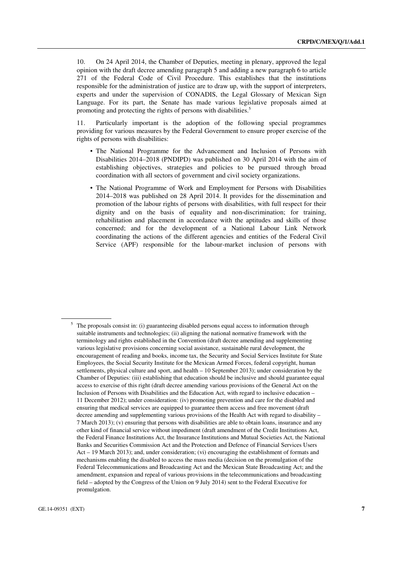10. On 24 April 2014, the Chamber of Deputies, meeting in plenary, approved the legal opinion with the draft decree amending paragraph 5 and adding a new paragraph 6 to article 271 of the Federal Code of Civil Procedure. This establishes that the institutions responsible for the administration of justice are to draw up, with the support of interpreters, experts and under the supervision of CONADIS, the Legal Glossary of Mexican Sign Language. For its part, the Senate has made various legislative proposals aimed at promoting and protecting the rights of persons with disabilities.<sup>5</sup>

11. Particularly important is the adoption of the following special programmes providing for various measures by the Federal Government to ensure proper exercise of the rights of persons with disabilities:

- The National Programme for the Advancement and Inclusion of Persons with Disabilities 2014–2018 (PNDIPD) was published on 30 April 2014 with the aim of establishing objectives, strategies and policies to be pursued through broad coordination with all sectors of government and civil society organizations.
- The National Programme of Work and Employment for Persons with Disabilities 2014–2018 was published on 28 April 2014. It provides for the dissemination and promotion of the labour rights of persons with disabilities, with full respect for their dignity and on the basis of equality and non-discrimination; for training, rehabilitation and placement in accordance with the aptitudes and skills of those concerned; and for the development of a National Labour Link Network coordinating the actions of the different agencies and entities of the Federal Civil Service (APF) responsible for the labour-market inclusion of persons with

 $5$  The proposals consist in: (i) guaranteeing disabled persons equal access to information through suitable instruments and technologies; (ii) aligning the national normative framework with the terminology and rights established in the Convention (draft decree amending and supplementing various legislative provisions concerning social assistance, sustainable rural development, the encouragement of reading and books, income tax, the Security and Social Services Institute for State Employees, the Social Security Institute for the Mexican Armed Forces, federal copyright, human settlements, physical culture and sport, and health – 10 September 2013); under consideration by the Chamber of Deputies: (iii) establishing that education should be inclusive and should guarantee equal access to exercise of this right (draft decree amending various provisions of the General Act on the Inclusion of Persons with Disabilities and the Education Act, with regard to inclusive education – 11 December 2012); under consideration: (iv) promoting prevention and care for the disabled and ensuring that medical services are equipped to guarantee them access and free movement (draft decree amending and supplementing various provisions of the Health Act with regard to disability – 7 March 2013); (v) ensuring that persons with disabilities are able to obtain loans, insurance and any other kind of financial service without impediment (draft amendment of the Credit Institutions Act, the Federal Finance Institutions Act, the Insurance Institutions and Mutual Societies Act, the National Banks and Securities Commission Act and the Protection and Defence of Financial Services Users Act – 19 March 2013); and, under consideration; (vi) encouraging the establishment of formats and mechanisms enabling the disabled to access the mass media (decision on the promulgation of the Federal Telecommunications and Broadcasting Act and the Mexican State Broadcasting Act; and the amendment, expansion and repeal of various provisions in the telecommunications and broadcasting field – adopted by the Congress of the Union on 9 July 2014) sent to the Federal Executive for promulgation.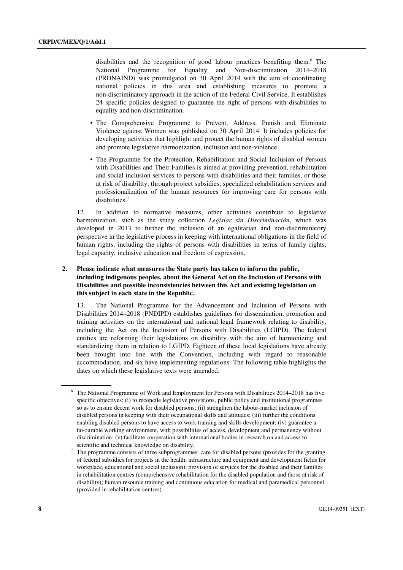disabilities and the recognition of good labour practices benefiting them.<sup>6</sup> The National Programme for Equality and Non-discrimination 2014–2018 (PRONAIND) was promulgated on 30 April 2014 with the aim of coordinating national policies in this area and establishing measures to promote a non-discriminatory approach in the action of the Federal Civil Service. It establishes 24 specific policies designed to guarantee the right of persons with disabilities to equality and non-discrimination.

- The Comprehensive Programme to Prevent, Address, Punish and Eliminate Violence against Women was published on 30 April 2014. It includes policies for developing activities that highlight and protect the human rights of disabled women and promote legislative harmonization, inclusion and non-violence.
- The Programme for the Protection, Rehabilitation and Social Inclusion of Persons with Disabilities and Their Families is aimed at providing prevention, rehabilitation and social inclusion services to persons with disabilities and their families, or those at risk of disability, through project subsidies, specialized rehabilitation services and professionalization of the human resources for improving care for persons with disabilities.7

12. In addition to normative measures, other activities contribute to legislative harmonization, such as the study collection *Legislar sin Discriminación*, which was developed in 2013 to further the inclusion of an egalitarian and non-discriminatory perspective in the legislative process in keeping with international obligations in the field of human rights, including the rights of persons with disabilities in terms of family rights, legal capacity, inclusive education and freedom of expression.

#### **2. Please indicate what measures the State party has taken to inform the public, including indigenous peoples, about the General Act on the Inclusion of Persons with Disabilities and possible inconsistencies between this Act and existing legislation on this subject in each state in the Republic.**

13. The National Programme for the Advancement and Inclusion of Persons with Disabilities 2014–2018 (PNDIPD) establishes guidelines for dissemination, promotion and training activities on the international and national legal framework relating to disability, including the Act on the Inclusion of Persons with Disabilities (LGIPD). The federal entities are reforming their legislations on disability with the aim of harmonizing and standardizing them in relation to LGIPD. Eighteen of these local legislations have already been brought into line with the Convention, including with regard to reasonable accommodation, and six have implementing regulations. The following table highlights the dates on which these legislative texts were amended.

<sup>&</sup>lt;sup>6</sup> The National Programme of Work and Employment for Persons with Disabilities 2014–2018 has five specific objectives: (i) to reconcile legislative provisions, public policy and institutional programmes so as to ensure decent work for disabled persons; (ii) strengthen the labour-market inclusion of disabled persons in keeping with their occupational skills and attitudes; (iii) further the conditions enabling disabled persons to have access to work training and skills development; (iv) guarantee a favourable working environment, with possibilities of access, development and permanency without discrimination; (v) facilitate cooperation with international bodies in research on and access to scientific and technical knowledge on disability.

The programme consists of three subprogrammes: care for disabled persons (provides for the granting of federal subsidies for projects in the health, infrastructure and equipment and development fields for workplace, educational and social inclusion); provision of services for the disabled and their families in rehabilitation centres (comprehensive rehabilitation for the disabled population and those at risk of disability); human resource training and continuous education for medical and paramedical personnel (provided in rehabilitation centres).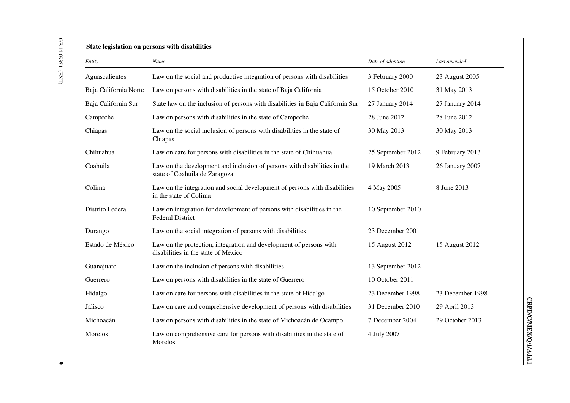# GE.14-09351 (EXT) GE.14-09351 (EXT)

## **State legislation on persons with disabilities**

| Entity                | Name                                                                                                      | Date of adoption  | Last amended     |
|-----------------------|-----------------------------------------------------------------------------------------------------------|-------------------|------------------|
| Aguascalientes        | Law on the social and productive integration of persons with disabilities                                 | 3 February 2000   | 23 August 2005   |
| Baja California Norte | Law on persons with disabilities in the state of Baja California                                          | 15 October 2010   | 31 May 2013      |
| Baja California Sur   | State law on the inclusion of persons with disabilities in Baja California Sur                            | 27 January 2014   | 27 January 2014  |
| Campeche              | Law on persons with disabilities in the state of Campeche                                                 | 28 June 2012      | 28 June 2012     |
| Chiapas               | Law on the social inclusion of persons with disabilities in the state of<br>Chiapas                       | 30 May 2013       | 30 May 2013      |
| Chihuahua             | Law on care for persons with disabilities in the state of Chihuahua                                       | 25 September 2012 | 9 February 2013  |
| Coahuila              | Law on the development and inclusion of persons with disabilities in the<br>state of Coahuila de Zaragoza | 19 March 2013     | 26 January 2007  |
| Colima                | Law on the integration and social development of persons with disabilities<br>in the state of Colima      | 4 May 2005        | 8 June 2013      |
| Distrito Federal      | Law on integration for development of persons with disabilities in the<br><b>Federal District</b>         | 10 September 2010 |                  |
| Durango               | Law on the social integration of persons with disabilities                                                | 23 December 2001  |                  |
| Estado de México      | Law on the protection, integration and development of persons with<br>disabilities in the state of México | 15 August 2012    | 15 August 2012   |
| Guanajuato            | Law on the inclusion of persons with disabilities                                                         | 13 September 2012 |                  |
| Guerrero              | Law on persons with disabilities in the state of Guerrero                                                 | 10 October 2011   |                  |
| Hidalgo               | Law on care for persons with disabilities in the state of Hidalgo                                         | 23 December 1998  | 23 December 1998 |
| Jalisco               | Law on care and comprehensive development of persons with disabilities                                    | 31 December 2010  | 29 April 2013    |
| Michoacán             | Law on persons with disabilities in the state of Michoacán de Ocampo                                      | 7 December 2004   | 29 October 2013  |
| Morelos               | Law on comprehensive care for persons with disabilities in the state of<br>Morelos                        | 4 July 2007       |                  |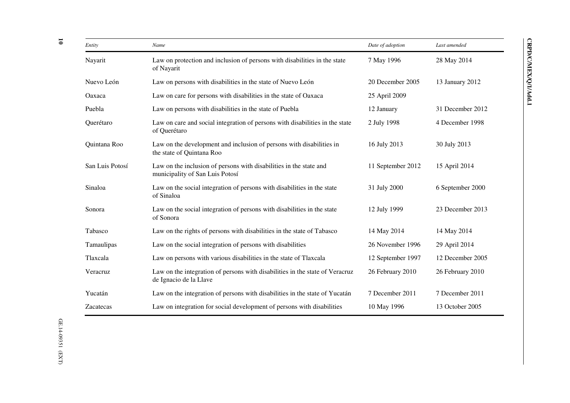| Entity          | Name                                                                                                   | Date of adoption  | Last amended     |
|-----------------|--------------------------------------------------------------------------------------------------------|-------------------|------------------|
| Nayarit         | Law on protection and inclusion of persons with disabilities in the state<br>of Nayarit                | 7 May 1996        | 28 May 2014      |
| Nuevo León      | Law on persons with disabilities in the state of Nuevo León                                            | 20 December 2005  | 13 January 2012  |
| Oaxaca          | Law on care for persons with disabilities in the state of Oaxaca                                       | 25 April 2009     |                  |
| Puebla          | Law on persons with disabilities in the state of Puebla                                                | 12 January        | 31 December 2012 |
| Querétaro       | Law on care and social integration of persons with disabilities in the state<br>of Querétaro           | 2 July 1998       | 4 December 1998  |
| Quintana Roo    | Law on the development and inclusion of persons with disabilities in<br>the state of Quintana Roo      | 16 July 2013      | 30 July 2013     |
| San Luis Potosí | Law on the inclusion of persons with disabilities in the state and<br>municipality of San Luis Potosí  | 11 September 2012 | 15 April 2014    |
| Sinaloa         | Law on the social integration of persons with disabilities in the state<br>of Sinaloa                  | 31 July 2000      | 6 September 2000 |
| Sonora          | Law on the social integration of persons with disabilities in the state<br>of Sonora                   | 12 July 1999      | 23 December 2013 |
| Tabasco         | Law on the rights of persons with disabilities in the state of Tabasco                                 | 14 May 2014       | 14 May 2014      |
| Tamaulipas      | Law on the social integration of persons with disabilities                                             | 26 November 1996  | 29 April 2014    |
| Tlaxcala        | Law on persons with various disabilities in the state of Tlaxcala                                      | 12 September 1997 | 12 December 2005 |
| Veracruz        | Law on the integration of persons with disabilities in the state of Veracruz<br>de Ignacio de la Llave | 26 February 2010  | 26 February 2010 |
| Yucatán         | Law on the integration of persons with disabilities in the state of Yucatán                            | 7 December 2011   | 7 December 2011  |
| Zacatecas       | Law on integration for social development of persons with disabilities                                 | 10 May 1996       | 13 October 2005  |

**10**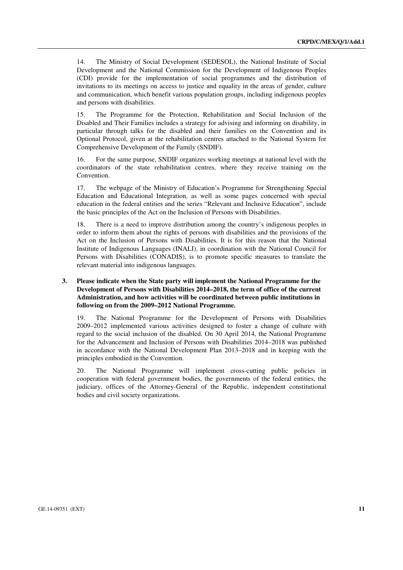14. The Ministry of Social Development (SEDESOL), the National Institute of Social Development and the National Commission for the Development of Indigenous Peoples (CDI) provide for the implementation of social programmes and the distribution of invitations to its meetings on access to justice and equality in the areas of gender, culture and communication, which benefit various population groups, including indigenous peoples and persons with disabilities.

15. The Programme for the Protection, Rehabilitation and Social Inclusion of the Disabled and Their Families includes a strategy for advising and informing on disability, in particular through talks for the disabled and their families on the Convention and its Optional Protocol, given at the rehabilitation centres attached to the National System for Comprehensive Development of the Family (SNDIF).

16. For the same purpose, SNDIF organizes working meetings at national level with the coordinators of the state rehabilitation centres, where they receive training on the Convention.

17. The webpage of the Ministry of Education's Programme for Strengthening Special Education and Educational Integration, as well as some pages concerned with special education in the federal entities and the series "Relevant and Inclusive Education", include the basic principles of the Act on the Inclusion of Persons with Disabilities.

18. There is a need to improve distribution among the country's indigenous peoples in order to inform them about the rights of persons with disabilities and the provisions of the Act on the Inclusion of Persons with Disabilities. It is for this reason that the National Institute of Indigenous Languages (INALI), in coordination with the National Council for Persons with Disabilities (CONADIS), is to promote specific measures to translate the relevant material into indigenous languages.

#### **3. Please indicate when the State party will implement the National Programme for the Development of Persons with Disabilities 2014–2018, the term of office of the current Administration, and how activities will be coordinated between public institutions in following on from the 2009–2012 National Programme.**

19. The National Programme for the Development of Persons with Disabilities 2009–2012 implemented various activities designed to foster a change of culture with regard to the social inclusion of the disabled. On 30 April 2014, the National Programme for the Advancement and Inclusion of Persons with Disabilities 2014–2018 was published in accordance with the National Development Plan 2013–2018 and in keeping with the principles embodied in the Convention.

20. The National Programme will implement cross-cutting public policies in cooperation with federal government bodies, the governments of the federal entities, the judiciary, offices of the Attorney-General of the Republic, independent constitutional bodies and civil society organizations.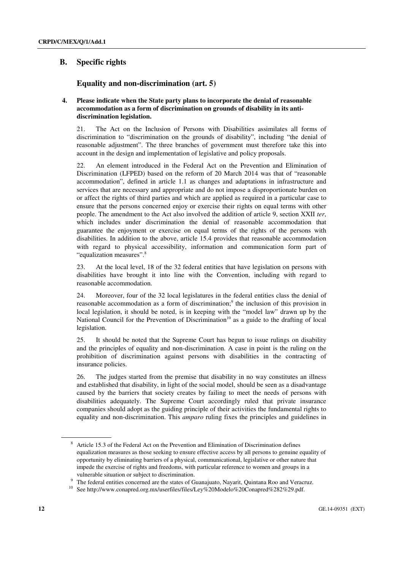## **B. Specific rights**

## **Equality and non-discrimination (art. 5)**

#### **4. Please indicate when the State party plans to incorporate the denial of reasonable accommodation as a form of discrimination on grounds of disability in its antidiscrimination legislation.**

21. The Act on the Inclusion of Persons with Disabilities assimilates all forms of discrimination to "discrimination on the grounds of disability", including "the denial of reasonable adjustment". The three branches of government must therefore take this into account in the design and implementation of legislative and policy proposals.

22. An element introduced in the Federal Act on the Prevention and Elimination of Discrimination (LFPED) based on the reform of 20 March 2014 was that of "reasonable accommodation", defined in article 1.1 as changes and adaptations in infrastructure and services that are necessary and appropriate and do not impose a disproportionate burden on or affect the rights of third parties and which are applied as required in a particular case to ensure that the persons concerned enjoy or exercise their rights on equal terms with other people. The amendment to the Act also involved the addition of article 9, section XXII *ter*, which includes under discrimination the denial of reasonable accommodation that guarantee the enjoyment or exercise on equal terms of the rights of the persons with disabilities. In addition to the above, article 15.4 provides that reasonable accommodation with regard to physical accessibility, information and communication form part of "equalization measures".8

23. At the local level, 18 of the 32 federal entities that have legislation on persons with disabilities have brought it into line with the Convention, including with regard to reasonable accommodation.

24. Moreover, four of the 32 local legislatures in the federal entities class the denial of reasonable accommodation as a form of discrimination;<sup>9</sup> the inclusion of this provision in local legislation, it should be noted, is in keeping with the "model law" drawn up by the National Council for the Prevention of Discrimination<sup>10</sup> as a guide to the drafting of local legislation.

25. It should be noted that the Supreme Court has begun to issue rulings on disability and the principles of equality and non-discrimination. A case in point is the ruling on the prohibition of discrimination against persons with disabilities in the contracting of insurance policies.

26. The judges started from the premise that disability in no way constitutes an illness and established that disability, in light of the social model, should be seen as a disadvantage caused by the barriers that society creates by failing to meet the needs of persons with disabilities adequately. The Supreme Court accordingly ruled that private insurance companies should adopt as the guiding principle of their activities the fundamental rights to equality and non-discrimination. This *amparo* ruling fixes the principles and guidelines in

<sup>8</sup> Article 15.3 of the Federal Act on the Prevention and Elimination of Discrimination defines equalization measures as those seeking to ensure effective access by all persons to genuine equality of opportunity by eliminating barriers of a physical, communicational, legislative or other nature that impede the exercise of rights and freedoms, with particular reference to women and groups in a

vulnerable situation or subject to discrimination.<br>The federal entities concerned are the states of Guanajuato, Nayarit, Quintana Roo and Veracruz.

See http://www.conapred.org.mx/userfiles/files/Ley%20Modelo%20Conapred%282%29.pdf.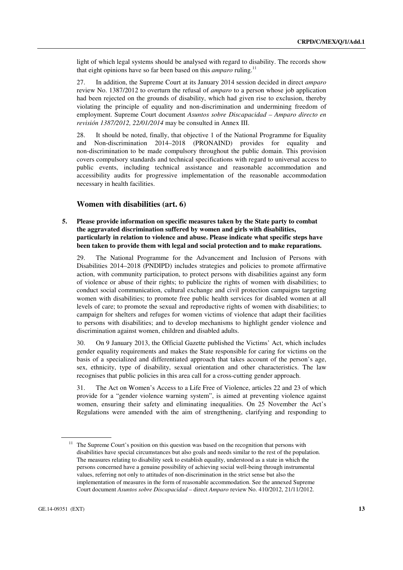light of which legal systems should be analysed with regard to disability. The records show that eight opinions have so far been based on this *amparo* ruling.11

27. In addition, the Supreme Court at its January 2014 session decided in direct *amparo* review No. 1387/2012 to overturn the refusal of *amparo* to a person whose job application had been rejected on the grounds of disability, which had given rise to exclusion, thereby violating the principle of equality and non-discrimination and undermining freedom of employment. Supreme Court document *Asuntos sobre Discapacidad – Amparo directo en revisión 1387/2012, 22/01/2014* may be consulted in Annex III.

28. It should be noted, finally, that objective 1 of the National Programme for Equality and Non-discrimination 2014–2018 (PRONAIND) provides for equality and non-discrimination to be made compulsory throughout the public domain. This provision covers compulsory standards and technical specifications with regard to universal access to public events, including technical assistance and reasonable accommodation and accessibility audits for progressive implementation of the reasonable accommodation necessary in health facilities.

#### **Women with disabilities (art. 6)**

#### **5. Please provide information on specific measures taken by the State party to combat the aggravated discrimination suffered by women and girls with disabilities, particularly in relation to violence and abuse. Please indicate what specific steps have been taken to provide them with legal and social protection and to make reparations.**

29. The National Programme for the Advancement and Inclusion of Persons with Disabilities 2014–2018 (PNDIPD) includes strategies and policies to promote affirmative action, with community participation, to protect persons with disabilities against any form of violence or abuse of their rights; to publicize the rights of women with disabilities; to conduct social communication, cultural exchange and civil protection campaigns targeting women with disabilities; to promote free public health services for disabled women at all levels of care; to promote the sexual and reproductive rights of women with disabilities; to campaign for shelters and refuges for women victims of violence that adapt their facilities to persons with disabilities; and to develop mechanisms to highlight gender violence and discrimination against women, children and disabled adults.

30. On 9 January 2013, the Official Gazette published the Victims' Act, which includes gender equality requirements and makes the State responsible for caring for victims on the basis of a specialized and differentiated approach that takes account of the person's age, sex, ethnicity, type of disability, sexual orientation and other characteristics. The law recognises that public policies in this area call for a cross-cutting gender approach.

31. The Act on Women's Access to a Life Free of Violence, articles 22 and 23 of which provide for a "gender violence warning system", is aimed at preventing violence against women, ensuring their safety and eliminating inequalities. On 25 November the Act's Regulations were amended with the aim of strengthening, clarifying and responding to

<sup>&</sup>lt;sup>11</sup> The Supreme Court's position on this question was based on the recognition that persons with disabilities have special circumstances but also goals and needs similar to the rest of the population. The measures relating to disability seek to establish equality, understood as a state in which the persons concerned have a genuine possibility of achieving social well-being through instrumental values, referring not only to attitudes of non-discrimination in the strict sense but also the implementation of measures in the form of reasonable accommodation. See the annexed Supreme Court document *Asuntos sobre Discapacidad* – direct *Amparo* review No. 410/2012, 21/11/2012.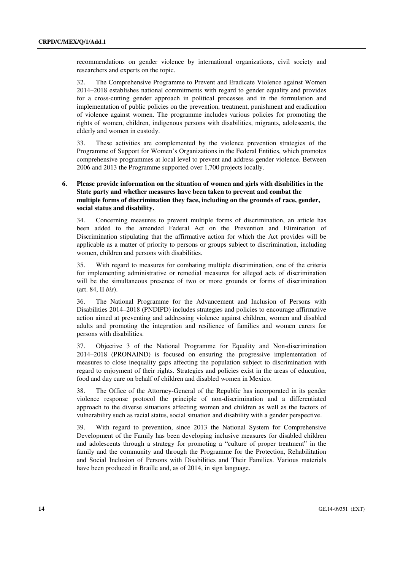recommendations on gender violence by international organizations, civil society and researchers and experts on the topic.

32. The Comprehensive Programme to Prevent and Eradicate Violence against Women 2014–2018 establishes national commitments with regard to gender equality and provides for a cross-cutting gender approach in political processes and in the formulation and implementation of public policies on the prevention, treatment, punishment and eradication of violence against women. The programme includes various policies for promoting the rights of women, children, indigenous persons with disabilities, migrants, adolescents, the elderly and women in custody.

33. These activities are complemented by the violence prevention strategies of the Programme of Support for Women's Organizations in the Federal Entities, which promotes comprehensive programmes at local level to prevent and address gender violence. Between 2006 and 2013 the Programme supported over 1,700 projects locally.

#### **6. Please provide information on the situation of women and girls with disabilities in the State party and whether measures have been taken to prevent and combat the multiple forms of discrimination they face, including on the grounds of race, gender, social status and disability.**

34. Concerning measures to prevent multiple forms of discrimination, an article has been added to the amended Federal Act on the Prevention and Elimination of Discrimination stipulating that the affirmative action for which the Act provides will be applicable as a matter of priority to persons or groups subject to discrimination, including women, children and persons with disabilities.

35. With regard to measures for combating multiple discrimination, one of the criteria for implementing administrative or remedial measures for alleged acts of discrimination will be the simultaneous presence of two or more grounds or forms of discrimination (art. 84, II *bis*).

36. The National Programme for the Advancement and Inclusion of Persons with Disabilities 2014–2018 (PNDIPD) includes strategies and policies to encourage affirmative action aimed at preventing and addressing violence against children, women and disabled adults and promoting the integration and resilience of families and women carers for persons with disabilities.

37. Objective 3 of the National Programme for Equality and Non-discrimination 2014–2018 (PRONAIND) is focused on ensuring the progressive implementation of measures to close inequality gaps affecting the population subject to discrimination with regard to enjoyment of their rights. Strategies and policies exist in the areas of education, food and day care on behalf of children and disabled women in Mexico.

38. The Office of the Attorney-General of the Republic has incorporated in its gender violence response protocol the principle of non-discrimination and a differentiated approach to the diverse situations affecting women and children as well as the factors of vulnerability such as racial status, social situation and disability with a gender perspective.

39. With regard to prevention, since 2013 the National System for Comprehensive Development of the Family has been developing inclusive measures for disabled children and adolescents through a strategy for promoting a "culture of proper treatment" in the family and the community and through the Programme for the Protection, Rehabilitation and Social Inclusion of Persons with Disabilities and Their Families. Various materials have been produced in Braille and, as of 2014, in sign language.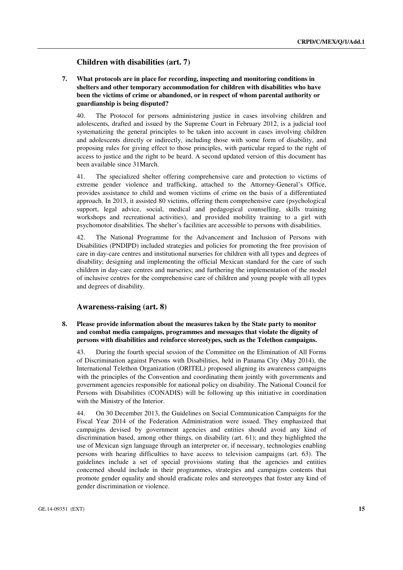#### **Children with disabilities (art. 7)**

 **7. What protocols are in place for recording, inspecting and monitoring conditions in shelters and other temporary accommodation for children with disabilities who have been the victims of crime or abandoned, or in respect of whom parental authority or guardianship is being disputed?** 

40. The Protocol for persons administering justice in cases involving children and adolescents, drafted and issued by the Supreme Court in February 2012, is a judicial tool systematizing the general principles to be taken into account in cases involving children and adolescents directly or indirectly, including those with some form of disability, and proposing rules for giving effect to those principles, with particular regard to the right of access to justice and the right to be heard. A second updated version of this document has been available since 31March.

41. The specialized shelter offering comprehensive care and protection to victims of extreme gender violence and trafficking, attached to the Attorney-General's Office, provides assistance to child and women victims of crime on the basis of a differentiated approach. In 2013, it assisted 80 victims, offering them comprehensive care (psychological support, legal advice, social, medical and pedagogical counselling, skills training workshops and recreational activities), and provided mobility training to a girl with psychomotor disabilities. The shelter's facilities are accessible to persons with disabilities.

42. The National Programme for the Advancement and Inclusion of Persons with Disabilities (PNDIPD) included strategies and policies for promoting the free provision of care in day-care centres and institutional nurseries for children with all types and degrees of disability; designing and implementing the official Mexican standard for the care of such children in day-care centres and nurseries; and furthering the implementation of the model of inclusive centres for the comprehensive care of children and young people with all types and degrees of disability.

#### **Awareness-raising (art. 8)**

#### **8. Please provide information about the measures taken by the State party to monitor and combat media campaigns, programmes and messages that violate the dignity of persons with disabilities and reinforce stereotypes, such as the Telethon campaigns.**

43. During the fourth special session of the Committee on the Elimination of All Forms of Discrimination against Persons with Disabilities, held in Panama City (May 2014), the International Telethon Organization (ORITEL) proposed aligning its awareness campaigns with the principles of the Convention and coordinating them jointly with governments and government agencies responsible for national policy on disability. The National Council for Persons with Disabilities (CONADIS) will be following up this initiative in coordination with the Ministry of the Interior.

44. On 30 December 2013, the Guidelines on Social Communication Campaigns for the Fiscal Year 2014 of the Federation Administration were issued. They emphasized that campaigns devised by government agencies and entities should avoid any kind of discrimination based, among other things, on disability (art. 61); and they highlighted the use of Mexican sign language through an interpreter or, if necessary, technologies enabling persons with hearing difficulties to have access to television campaigns (art. 63). The guidelines include a set of special provisions stating that the agencies and entities concerned should include in their programmes, strategies and campaigns contents that promote gender equality and should eradicate roles and stereotypes that foster any kind of gender discrimination or violence.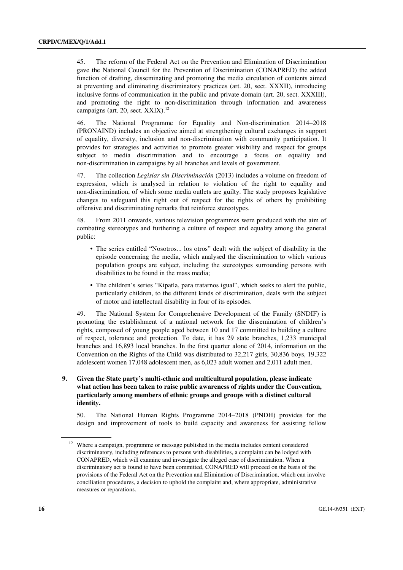45. The reform of the Federal Act on the Prevention and Elimination of Discrimination gave the National Council for the Prevention of Discrimination (CONAPRED) the added function of drafting, disseminating and promoting the media circulation of contents aimed at preventing and eliminating discriminatory practices (art. 20, sect. XXXII), introducing inclusive forms of communication in the public and private domain (art. 20, sect. XXXIII), and promoting the right to non-discrimination through information and awareness campaigns (art.  $20$ , sect.  $XXIX$ ).<sup>12</sup>

46. The National Programme for Equality and Non-discrimination 2014–2018 (PRONAIND) includes an objective aimed at strengthening cultural exchanges in support of equality, diversity, inclusion and non-discrimination with community participation. It provides for strategies and activities to promote greater visibility and respect for groups subject to media discrimination and to encourage a focus on equality and non-discrimination in campaigns by all branches and levels of government.

47. The collection *Legislar sin Discriminación* (2013) includes a volume on freedom of expression, which is analysed in relation to violation of the right to equality and non-discrimination, of which some media outlets are guilty. The study proposes legislative changes to safeguard this right out of respect for the rights of others by prohibiting offensive and discriminating remarks that reinforce stereotypes.

48. From 2011 onwards, various television programmes were produced with the aim of combating stereotypes and furthering a culture of respect and equality among the general public:

- The series entitled "Nosotros... los otros" dealt with the subject of disability in the episode concerning the media, which analysed the discrimination to which various population groups are subject, including the stereotypes surrounding persons with disabilities to be found in the mass media;
- The children's series "Kipatla, para tratarnos igual", which seeks to alert the public, particularly children, to the different kinds of discrimination, deals with the subject of motor and intellectual disability in four of its episodes.

49. The National System for Comprehensive Development of the Family (SNDIF) is promoting the establishment of a national network for the dissemination of children's rights, composed of young people aged between 10 and 17 committed to building a culture of respect, tolerance and protection. To date, it has 29 state branches, 1,233 municipal branches and 16,893 local branches. In the first quarter alone of 2014, information on the Convention on the Rights of the Child was distributed to 32,217 girls, 30,836 boys, 19,322 adolescent women 17,048 adolescent men, as 6,023 adult women and 2,011 adult men.

#### **9. Given the State party's multi-ethnic and multicultural population, please indicate what action has been taken to raise public awareness of rights under the Convention, particularly among members of ethnic groups and groups with a distinct cultural identity.**

50. The National Human Rights Programme 2014–2018 (PNDH) provides for the design and improvement of tools to build capacity and awareness for assisting fellow

Where a campaign, programme or message published in the media includes content considered discriminatory, including references to persons with disabilities, a complaint can be lodged with CONAPRED, which will examine and investigate the alleged case of discrimination. When a discriminatory act is found to have been committed, CONAPRED will proceed on the basis of the provisions of the Federal Act on the Prevention and Elimination of Discrimination, which can involve conciliation procedures, a decision to uphold the complaint and, where appropriate, administrative measures or reparations.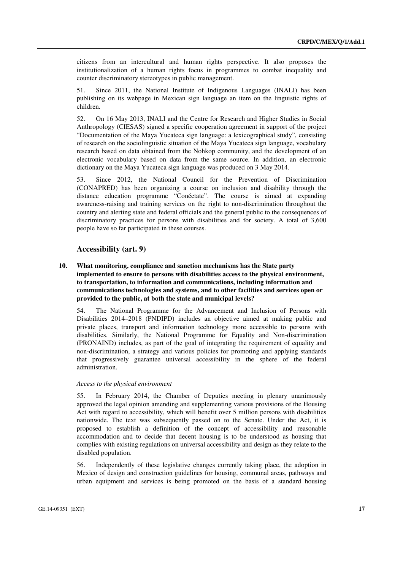citizens from an intercultural and human rights perspective. It also proposes the institutionalization of a human rights focus in programmes to combat inequality and counter discriminatory stereotypes in public management.

51. Since 2011, the National Institute of Indigenous Languages (INALI) has been publishing on its webpage in Mexican sign language an item on the linguistic rights of children.

52. On 16 May 2013, INALI and the Centre for Research and Higher Studies in Social Anthropology (CIESAS) signed a specific cooperation agreement in support of the project "Documentation of the Maya Yucateca sign language: a lexicographical study", consisting of research on the sociolinguistic situation of the Maya Yucateca sign language, vocabulary research based on data obtained from the Nohkop community, and the development of an electronic vocabulary based on data from the same source. In addition, an electronic dictionary on the Maya Yucateca sign language was produced on 3 May 2014.

53. Since 2012, the National Council for the Prevention of Discrimination (CONAPRED) has been organizing a course on inclusion and disability through the distance education programme "Conéctate". The course is aimed at expanding awareness-raising and training services on the right to non-discrimination throughout the country and alerting state and federal officials and the general public to the consequences of discriminatory practices for persons with disabilities and for society. A total of 3,600 people have so far participated in these courses.

#### **Accessibility (art. 9)**

 **10. What monitoring, compliance and sanction mechanisms has the State party implemented to ensure to persons with disabilities access to the physical environment, to transportation, to information and communications, including information and communications technologies and systems, and to other facilities and services open or provided to the public, at both the state and municipal levels?** 

54. The National Programme for the Advancement and Inclusion of Persons with Disabilities 2014–2018 (PNDIPD) includes an objective aimed at making public and private places, transport and information technology more accessible to persons with disabilities. Similarly, the National Programme for Equality and Non-discrimination (PRONAIND) includes, as part of the goal of integrating the requirement of equality and non-discrimination, a strategy and various policies for promoting and applying standards that progressively guarantee universal accessibility in the sphere of the federal administration.

#### *Access to the physical environment*

55. In February 2014, the Chamber of Deputies meeting in plenary unanimously approved the legal opinion amending and supplementing various provisions of the Housing Act with regard to accessibility, which will benefit over 5 million persons with disabilities nationwide. The text was subsequently passed on to the Senate. Under the Act, it is proposed to establish a definition of the concept of accessibility and reasonable accommodation and to decide that decent housing is to be understood as housing that complies with existing regulations on universal accessibility and design as they relate to the disabled population.

56. Independently of these legislative changes currently taking place, the adoption in Mexico of design and construction guidelines for housing, communal areas, pathways and urban equipment and services is being promoted on the basis of a standard housing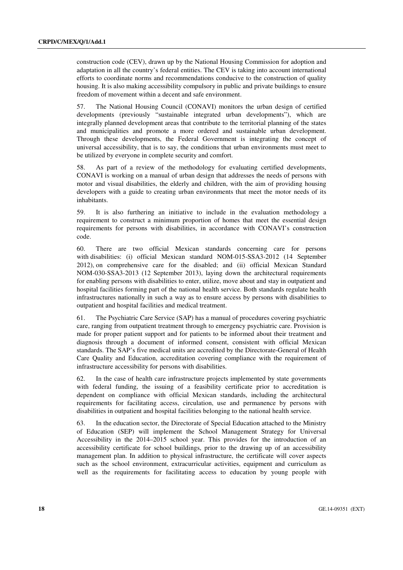construction code (CEV), drawn up by the National Housing Commission for adoption and adaptation in all the country's federal entities. The CEV is taking into account international efforts to coordinate norms and recommendations conducive to the construction of quality housing. It is also making accessibility compulsory in public and private buildings to ensure freedom of movement within a decent and safe environment.

57. The National Housing Council (CONAVI) monitors the urban design of certified developments (previously "sustainable integrated urban developments"), which are integrally planned development areas that contribute to the territorial planning of the states and municipalities and promote a more ordered and sustainable urban development. Through these developments, the Federal Government is integrating the concept of universal accessibility, that is to say, the conditions that urban environments must meet to be utilized by everyone in complete security and comfort.

58. As part of a review of the methodology for evaluating certified developments, CONAVI is working on a manual of urban design that addresses the needs of persons with motor and visual disabilities, the elderly and children, with the aim of providing housing developers with a guide to creating urban environments that meet the motor needs of its inhabitants.

59. It is also furthering an initiative to include in the evaluation methodology a requirement to construct a minimum proportion of homes that meet the essential design requirements for persons with disabilities, in accordance with CONAVI's construction code.

60. There are two official Mexican standards concerning care for persons with disabilities: (i) official Mexican standard NOM-015-SSA3-2012 (14 September 2012), on comprehensive care for the disabled; and (ii) official Mexican Standard NOM-030-SSA3-2013 (12 September 2013), laying down the architectural requirements for enabling persons with disabilities to enter, utilize, move about and stay in outpatient and hospital facilities forming part of the national health service. Both standards regulate health infrastructures nationally in such a way as to ensure access by persons with disabilities to outpatient and hospital facilities and medical treatment.

61. The Psychiatric Care Service (SAP) has a manual of procedures covering psychiatric care, ranging from outpatient treatment through to emergency psychiatric care. Provision is made for proper patient support and for patients to be informed about their treatment and diagnosis through a document of informed consent, consistent with official Mexican standards. The SAP's five medical units are accredited by the Directorate-General of Health Care Quality and Education, accreditation covering compliance with the requirement of infrastructure accessibility for persons with disabilities.

62. In the case of health care infrastructure projects implemented by state governments with federal funding, the issuing of a feasibility certificate prior to accreditation is dependent on compliance with official Mexican standards, including the architectural requirements for facilitating access, circulation, use and permanence by persons with disabilities in outpatient and hospital facilities belonging to the national health service.

63. In the education sector, the Directorate of Special Education attached to the Ministry of Education (SEP) will implement the School Management Strategy for Universal Accessibility in the 2014–2015 school year. This provides for the introduction of an accessibility certificate for school buildings, prior to the drawing up of an accessibility management plan. In addition to physical infrastructure, the certificate will cover aspects such as the school environment, extracurricular activities, equipment and curriculum as well as the requirements for facilitating access to education by young people with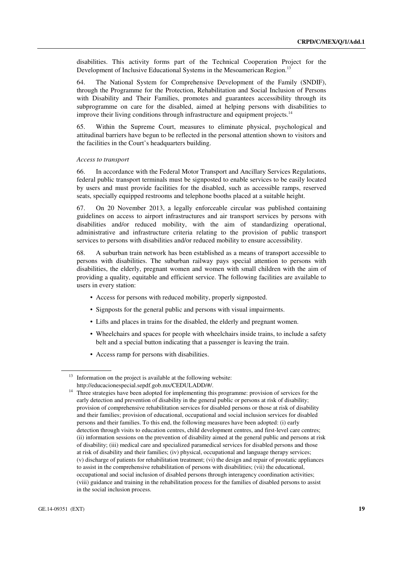disabilities. This activity forms part of the Technical Cooperation Project for the Development of Inclusive Educational Systems in the Mesoamerican Region.<sup>13</sup>

64. The National System for Comprehensive Development of the Family (SNDIF), through the Programme for the Protection, Rehabilitation and Social Inclusion of Persons with Disability and Their Families, promotes and guarantees accessibility through its subprogramme on care for the disabled, aimed at helping persons with disabilities to improve their living conditions through infrastructure and equipment projects.<sup>14</sup>

65. Within the Supreme Court, measures to eliminate physical, psychological and attitudinal barriers have begun to be reflected in the personal attention shown to visitors and the facilities in the Court's headquarters building.

#### *Access to transport*

66. In accordance with the Federal Motor Transport and Ancillary Services Regulations, federal public transport terminals must be signposted to enable services to be easily located by users and must provide facilities for the disabled, such as accessible ramps, reserved seats, specially equipped restrooms and telephone booths placed at a suitable height.

67. On 20 November 2013, a legally enforceable circular was published containing guidelines on access to airport infrastructures and air transport services by persons with disabilities and/or reduced mobility, with the aim of standardizing operational, administrative and infrastructure criteria relating to the provision of public transport services to persons with disabilities and/or reduced mobility to ensure accessibility.

68. A suburban train network has been established as a means of transport accessible to persons with disabilities. The suburban railway pays special attention to persons with disabilities, the elderly, pregnant women and women with small children with the aim of providing a quality, equitable and efficient service. The following facilities are available to users in every station:

- Access for persons with reduced mobility, properly signposted.
- Signposts for the general public and persons with visual impairments.
- Lifts and places in trains for the disabled, the elderly and pregnant women.
- Wheelchairs and spaces for people with wheelchairs inside trains, to include a safety belt and a special button indicating that a passenger is leaving the train.
- Access ramp for persons with disabilities.

Information on the project is available at the following website:

http://educacionespecial.sepdf.gob.mx/CEDULADD/#/.<br><sup>14</sup> Three strategies have been adopted for implementing this programme: provision of services for the early detection and prevention of disability in the general public or persons at risk of disability; provision of comprehensive rehabilitation services for disabled persons or those at risk of disability and their families; provision of educational, occupational and social inclusion services for disabled persons and their families. To this end, the following measures have been adopted: (i) early detection through visits to education centres, child development centres, and first-level care centres; (ii) information sessions on the prevention of disability aimed at the general public and persons at risk of disability; (iii) medical care and specialized paramedical services for disabled persons and those at risk of disability and their families; (iv) physical, occupational and language therapy services; (v) discharge of patients for rehabilitation treatment; (vi) the design and repair of prostatic appliances to assist in the comprehensive rehabilitation of persons with disabilities; (vii) the educational, occupational and social inclusion of disabled persons through interagency coordination activities; (viii) guidance and training in the rehabilitation process for the families of disabled persons to assist in the social inclusion process.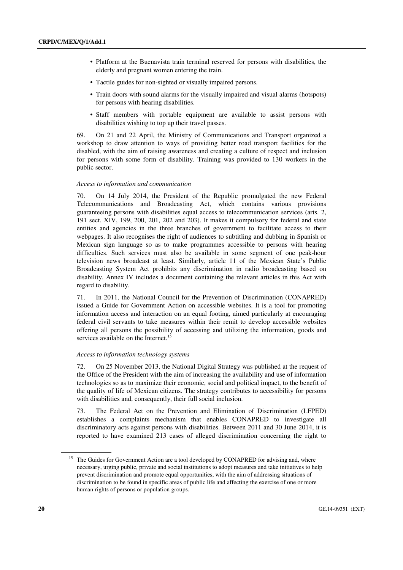- Platform at the Buenavista train terminal reserved for persons with disabilities, the elderly and pregnant women entering the train.
- Tactile guides for non-sighted or visually impaired persons.
- Train doors with sound alarms for the visually impaired and visual alarms (hotspots) for persons with hearing disabilities.
- Staff members with portable equipment are available to assist persons with disabilities wishing to top up their travel passes.

69. On 21 and 22 April, the Ministry of Communications and Transport organized a workshop to draw attention to ways of providing better road transport facilities for the disabled, with the aim of raising awareness and creating a culture of respect and inclusion for persons with some form of disability. Training was provided to 130 workers in the public sector.

#### *Access to information and communication*

70. On 14 July 2014, the President of the Republic promulgated the new Federal Telecommunications and Broadcasting Act, which contains various provisions guaranteeing persons with disabilities equal access to telecommunication services (arts. 2, 191 sect. XIV, 199, 200, 201, 202 and 203). It makes it compulsory for federal and state entities and agencies in the three branches of government to facilitate access to their webpages. It also recognises the right of audiences to subtitling and dubbing in Spanish or Mexican sign language so as to make programmes accessible to persons with hearing difficulties. Such services must also be available in some segment of one peak-hour television news broadcast at least. Similarly, article 11 of the Mexican State's Public Broadcasting System Act prohibits any discrimination in radio broadcasting based on disability. Annex IV includes a document containing the relevant articles in this Act with regard to disability.

71. In 2011, the National Council for the Prevention of Discrimination (CONAPRED) issued a Guide for Government Action on accessible websites. It is a tool for promoting information access and interaction on an equal footing, aimed particularly at encouraging federal civil servants to take measures within their remit to develop accessible websites offering all persons the possibility of accessing and utilizing the information, goods and services available on the Internet.<sup>15</sup>

#### *Access to information technology systems*

72. On 25 November 2013, the National Digital Strategy was published at the request of the Office of the President with the aim of increasing the availability and use of information technologies so as to maximize their economic, social and political impact, to the benefit of the quality of life of Mexican citizens. The strategy contributes to accessibility for persons with disabilities and, consequently, their full social inclusion.

73. The Federal Act on the Prevention and Elimination of Discrimination (LFPED) establishes a complaints mechanism that enables CONAPRED to investigate all discriminatory acts against persons with disabilities. Between 2011 and 30 June 2014, it is reported to have examined 213 cases of alleged discrimination concerning the right to

<sup>&</sup>lt;sup>15</sup> The Guides for Government Action are a tool developed by CONAPRED for advising and, where necessary, urging public, private and social institutions to adopt measures and take initiatives to help prevent discrimination and promote equal opportunities, with the aim of addressing situations of discrimination to be found in specific areas of public life and affecting the exercise of one or more human rights of persons or population groups.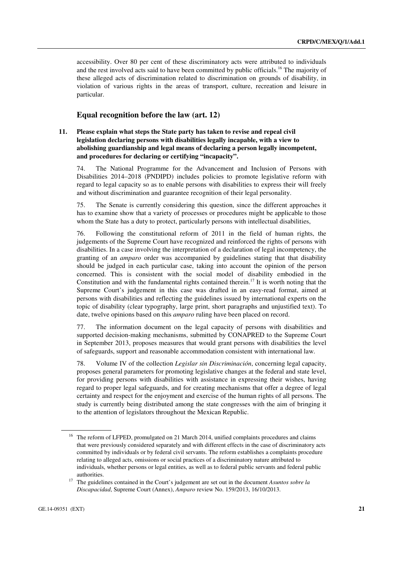accessibility. Over 80 per cent of these discriminatory acts were attributed to individuals and the rest involved acts said to have been committed by public officials.<sup>16</sup> The majority of these alleged acts of discrimination related to discrimination on grounds of disability, in violation of various rights in the areas of transport, culture, recreation and leisure in particular.

## **Equal recognition before the law (art. 12)**

#### **11. Please explain what steps the State party has taken to revise and repeal civil legislation declaring persons with disabilities legally incapable, with a view to abolishing guardianship and legal means of declaring a person legally incompetent, and procedures for declaring or certifying "incapacity".**

74. The National Programme for the Advancement and Inclusion of Persons with Disabilities 2014–2018 (PNDIPD) includes policies to promote legislative reform with regard to legal capacity so as to enable persons with disabilities to express their will freely and without discrimination and guarantee recognition of their legal personality.

75. The Senate is currently considering this question, since the different approaches it has to examine show that a variety of processes or procedures might be applicable to those whom the State has a duty to protect, particularly persons with intellectual disabilities,

76. Following the constitutional reform of 2011 in the field of human rights, the judgements of the Supreme Court have recognized and reinforced the rights of persons with disabilities. In a case involving the interpretation of a declaration of legal incompetency, the granting of an *amparo* order was accompanied by guidelines stating that that disability should be judged in each particular case, taking into account the opinion of the person concerned. This is consistent with the social model of disability embodied in the Constitution and with the fundamental rights contained therein.<sup>17</sup> It is worth noting that the Supreme Court's judgement in this case was drafted in an easy-read format, aimed at persons with disabilities and reflecting the guidelines issued by international experts on the topic of disability (clear typography, large print, short paragraphs and unjustified text). To date, twelve opinions based on this *amparo* ruling have been placed on record.

77. The information document on the legal capacity of persons with disabilities and supported decision-making mechanisms, submitted by CONAPRED to the Supreme Court in September 2013, proposes measures that would grant persons with disabilities the level of safeguards, support and reasonable accommodation consistent with international law.

78. Volume IV of the collection *Legislar sin Discriminación*, concerning legal capacity, proposes general parameters for promoting legislative changes at the federal and state level, for providing persons with disabilities with assistance in expressing their wishes, having regard to proper legal safeguards, and for creating mechanisms that offer a degree of legal certainty and respect for the enjoyment and exercise of the human rights of all persons. The study is currently being distributed among the state congresses with the aim of bringing it to the attention of legislators throughout the Mexican Republic.

<sup>&</sup>lt;sup>16</sup> The reform of LFPED, promulgated on 21 March 2014, unified complaints procedures and claims that were previously considered separately and with different effects in the case of discriminatory acts committed by individuals or by federal civil servants. The reform establishes a complaints procedure relating to alleged acts, omissions or social practices of a discriminatory nature attributed to individuals, whether persons or legal entities, as well as to federal public servants and federal public

authorities. 17 The guidelines contained in the Court's judgement are set out in the document *Asuntos sobre la Discapacidad*, Supreme Court (Annex), *Amparo* review No. 159/2013, 16/10/2013.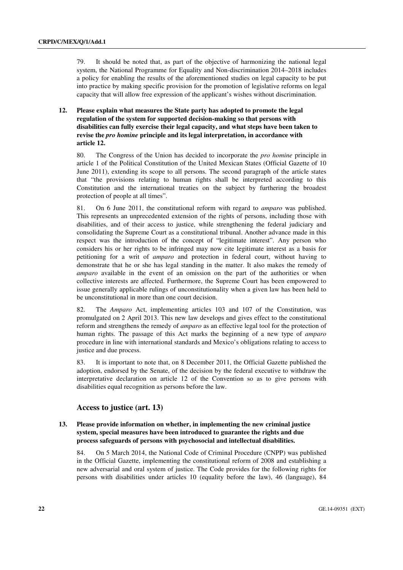79. It should be noted that, as part of the objective of harmonizing the national legal system, the National Programme for Equality and Non-discrimination 2014–2018 includes a policy for enabling the results of the aforementioned studies on legal capacity to be put into practice by making specific provision for the promotion of legislative reforms on legal capacity that will allow free expression of the applicant's wishes without discrimination.

### **12. Please explain what measures the State party has adopted to promote the legal regulation of the system for supported decision-making so that persons with disabilities can fully exercise their legal capacity, and what steps have been taken to revise the** *pro homine* **principle and its legal interpretation, in accordance with article 12.**

80. The Congress of the Union has decided to incorporate the *pro homine* principle in article 1 of the Political Constitution of the United Mexican States (Official Gazette of 10 June 2011), extending its scope to all persons. The second paragraph of the article states that "the provisions relating to human rights shall be interpreted according to this Constitution and the international treaties on the subject by furthering the broadest protection of people at all times".

81. On 6 June 2011, the constitutional reform with regard to *amparo* was published. This represents an unprecedented extension of the rights of persons, including those with disabilities, and of their access to justice, while strengthening the federal judiciary and consolidating the Supreme Court as a constitutional tribunal. Another advance made in this respect was the introduction of the concept of "legitimate interest". Any person who considers his or her rights to be infringed may now cite legitimate interest as a basis for petitioning for a writ of *amparo* and protection in federal court, without having to demonstrate that he or she has legal standing in the matter. It also makes the remedy of *amparo* available in the event of an omission on the part of the authorities or when collective interests are affected. Furthermore, the Supreme Court has been empowered to issue generally applicable rulings of unconstitutionality when a given law has been held to be unconstitutional in more than one court decision.

82. The *Amparo* Act, implementing articles 103 and 107 of the Constitution, was promulgated on 2 April 2013. This new law develops and gives effect to the constitutional reform and strengthens the remedy of *amparo* as an effective legal tool for the protection of human rights. The passage of this Act marks the beginning of a new type of *amparo* procedure in line with international standards and Mexico's obligations relating to access to justice and due process.

83. It is important to note that, on 8 December 2011, the Official Gazette published the adoption, endorsed by the Senate, of the decision by the federal executive to withdraw the interpretative declaration on article 12 of the Convention so as to give persons with disabilities equal recognition as persons before the law.

#### **Access to justice (art. 13)**

#### **13. Please provide information on whether, in implementing the new criminal justice system, special measures have been introduced to guarantee the rights and due process safeguards of persons with psychosocial and intellectual disabilities.**

84. On 5 March 2014, the National Code of Criminal Procedure (CNPP) was published in the Official Gazette, implementing the constitutional reform of 2008 and establishing a new adversarial and oral system of justice. The Code provides for the following rights for persons with disabilities under articles 10 (equality before the law), 46 (language), 84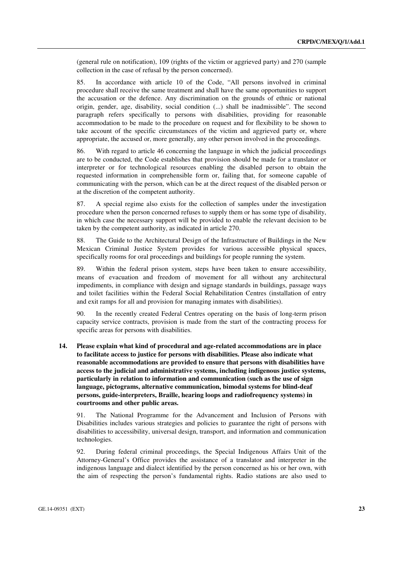(general rule on notification), 109 (rights of the victim or aggrieved party) and 270 (sample collection in the case of refusal by the person concerned).

85. In accordance with article 10 of the Code, "All persons involved in criminal procedure shall receive the same treatment and shall have the same opportunities to support the accusation or the defence. Any discrimination on the grounds of ethnic or national origin, gender, age, disability, social condition (...) shall be inadmissible". The second paragraph refers specifically to persons with disabilities, providing for reasonable accommodation to be made to the procedure on request and for flexibility to be shown to take account of the specific circumstances of the victim and aggrieved party or, where appropriate, the accused or, more generally, any other person involved in the proceedings.

86. With regard to article 46 concerning the language in which the judicial proceedings are to be conducted, the Code establishes that provision should be made for a translator or interpreter or for technological resources enabling the disabled person to obtain the requested information in comprehensible form or, failing that, for someone capable of communicating with the person, which can be at the direct request of the disabled person or at the discretion of the competent authority.

87. A special regime also exists for the collection of samples under the investigation procedure when the person concerned refuses to supply them or has some type of disability, in which case the necessary support will be provided to enable the relevant decision to be taken by the competent authority, as indicated in article 270.

88. The Guide to the Architectural Design of the Infrastructure of Buildings in the New Mexican Criminal Justice System provides for various accessible physical spaces, specifically rooms for oral proceedings and buildings for people running the system.

89. Within the federal prison system, steps have been taken to ensure accessibility, means of evacuation and freedom of movement for all without any architectural impediments, in compliance with design and signage standards in buildings, passage ways and toilet facilities within the Federal Social Rehabilitation Centres (installation of entry and exit ramps for all and provision for managing inmates with disabilities).

90. In the recently created Federal Centres operating on the basis of long-term prison capacity service contracts, provision is made from the start of the contracting process for specific areas for persons with disabilities.

 **14. Please explain what kind of procedural and age-related accommodations are in place to facilitate access to justice for persons with disabilities. Please also indicate what reasonable accommodations are provided to ensure that persons with disabilities have access to the judicial and administrative systems, including indigenous justice systems, particularly in relation to information and communication (such as the use of sign language, pictograms, alternative communication, bimodal systems for blind-deaf persons, guide-interpreters, Braille, hearing loops and radiofrequency systems) in courtrooms and other public areas.** 

91. The National Programme for the Advancement and Inclusion of Persons with Disabilities includes various strategies and policies to guarantee the right of persons with disabilities to accessibility, universal design, transport, and information and communication technologies.

92. During federal criminal proceedings, the Special Indigenous Affairs Unit of the Attorney-General's Office provides the assistance of a translator and interpreter in the indigenous language and dialect identified by the person concerned as his or her own, with the aim of respecting the person's fundamental rights. Radio stations are also used to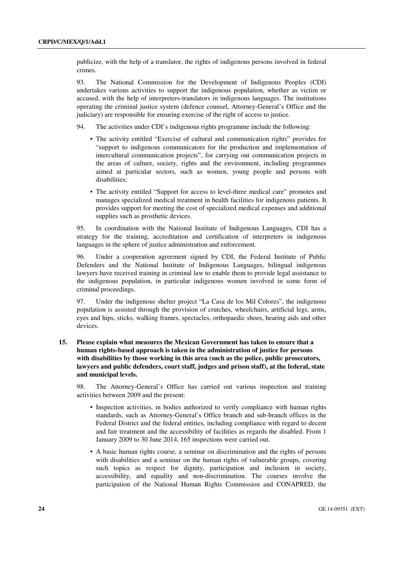publicize, with the help of a translator, the rights of indigenous persons involved in federal crimes.

93. The National Commission for the Development of Indigenous Peoples (CDI) undertakes various activities to support the indigenous population, whether as victim or accused, with the help of interpreters-translators in indigenous languages. The institutions operating the criminal justice system (defence counsel, Attorney-General's Office and the judiciary) are responsible for ensuring exercise of the right of access to justice.

- 94. The activities under CDI's indigenous rights programme include the following:
	- The activity entitled "Exercise of cultural and communication rights" provides for "support to indigenous communicators for the production and implementation of intercultural communication projects", for carrying out communication projects in the areas of culture, society, rights and the environment, including programmes aimed at particular sectors, such as women, young people and persons with disabilities;
	- The activity entitled "Support for access to level-three medical care" promotes and manages specialized medical treatment in health facilities for indigenous patients. It provides support for meeting the cost of specialized medical expenses and additional supplies such as prosthetic devices.

95. In coordination with the National Institute of Indigenous Languages, CDI has a strategy for the training, accreditation and certification of interpreters in indigenous languages in the sphere of justice administration and enforcement.

96. Under a cooperation agreement signed by CDI, the Federal Institute of Public Defenders and the National Institute of Indigenous Languages, bilingual indigenous lawyers have received training in criminal law to enable them to provide legal assistance to the indigenous population, in particular indigenous women involved in some form of criminal proceedings.

97. Under the indigenous shelter project "La Casa de los Mil Colores", the indigenous population is assisted through the provision of crutches, wheelchairs, artificial legs, arms, eyes and hips, sticks, walking frames, spectacles, orthopaedic shoes, hearing aids and other devices.

#### **15. Please explain what measures the Mexican Government has taken to ensure that a human rights-based approach is taken in the administration of justice for persons with disabilities by those working in this area (such as the police, public prosecutors, lawyers and public defenders, court staff, judges and prison staff), at the federal, state and municipal levels.**

98. The Attorney-General's Office has carried out various inspection and training activities between 2009 and the present:

- Inspection activities, in bodies authorized to verify compliance with human rights standards, such as Attorney-General's Office branch and sub-branch offices in the Federal District and the federal entities, including compliance with regard to decent and fair treatment and the accessibility of facilities as regards the disabled. From 1 January 2009 to 30 June 2014, 165 inspections were carried out.
- A basic human rights course, a seminar on discrimination and the rights of persons with disabilities and a seminar on the human rights of vulnerable groups, covering such topics as respect for dignity, participation and inclusion in society, accessibility, and equality and non-discrimination. The courses involve the participation of the National Human Rights Commission and CONAPRED, the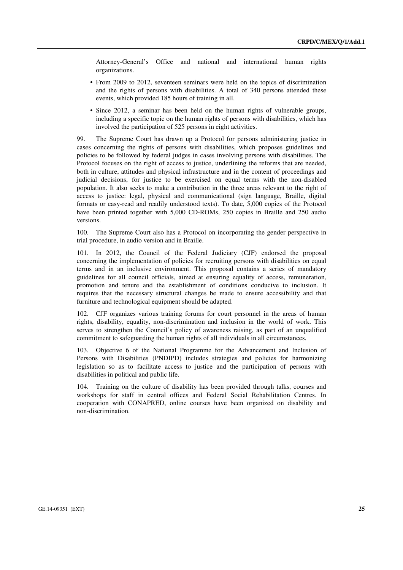Attorney-General's Office and national and international human rights organizations.

- From 2009 to 2012, seventeen seminars were held on the topics of discrimination and the rights of persons with disabilities. A total of 340 persons attended these events, which provided 185 hours of training in all.
- Since 2012, a seminar has been held on the human rights of vulnerable groups, including a specific topic on the human rights of persons with disabilities, which has involved the participation of 525 persons in eight activities.

99. The Supreme Court has drawn up a Protocol for persons administering justice in cases concerning the rights of persons with disabilities, which proposes guidelines and policies to be followed by federal judges in cases involving persons with disabilities. The Protocol focuses on the right of access to justice, underlining the reforms that are needed, both in culture, attitudes and physical infrastructure and in the content of proceedings and judicial decisions, for justice to be exercised on equal terms with the non-disabled population. It also seeks to make a contribution in the three areas relevant to the right of access to justice: legal, physical and communicational (sign language, Braille, digital formats or easy-read and readily understood texts). To date, 5,000 copies of the Protocol have been printed together with 5,000 CD-ROMs, 250 copies in Braille and 250 audio versions.

100. The Supreme Court also has a Protocol on incorporating the gender perspective in trial procedure, in audio version and in Braille.

101. In 2012, the Council of the Federal Judiciary (CJF) endorsed the proposal concerning the implementation of policies for recruiting persons with disabilities on equal terms and in an inclusive environment. This proposal contains a series of mandatory guidelines for all council officials, aimed at ensuring equality of access, remuneration, promotion and tenure and the establishment of conditions conducive to inclusion. It requires that the necessary structural changes be made to ensure accessibility and that furniture and technological equipment should be adapted.

102. CJF organizes various training forums for court personnel in the areas of human rights, disability, equality, non-discrimination and inclusion in the world of work. This serves to strengthen the Council's policy of awareness raising, as part of an unqualified commitment to safeguarding the human rights of all individuals in all circumstances.

103. Objective 6 of the National Programme for the Advancement and Inclusion of Persons with Disabilities (PNDIPD) includes strategies and policies for harmonizing legislation so as to facilitate access to justice and the participation of persons with disabilities in political and public life.

104. Training on the culture of disability has been provided through talks, courses and workshops for staff in central offices and Federal Social Rehabilitation Centres. In cooperation with CONAPRED, online courses have been organized on disability and non-discrimination.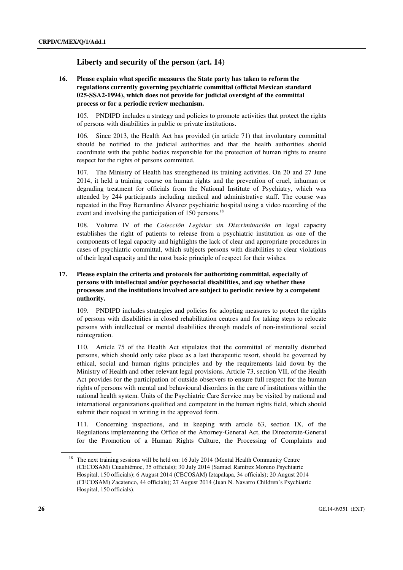## **Liberty and security of the person (art. 14)**

#### **16. Please explain what specific measures the State party has taken to reform the regulations currently governing psychiatric committal (official Mexican standard 025-SSA2-1994), which does not provide for judicial oversight of the committal process or for a periodic review mechanism.**

105. PNDIPD includes a strategy and policies to promote activities that protect the rights of persons with disabilities in public or private institutions.

106. Since 2013, the Health Act has provided (in article 71) that involuntary committal should be notified to the judicial authorities and that the health authorities should coordinate with the public bodies responsible for the protection of human rights to ensure respect for the rights of persons committed.

107. The Ministry of Health has strengthened its training activities. On 20 and 27 June 2014, it held a training course on human rights and the prevention of cruel, inhuman or degrading treatment for officials from the National Institute of Psychiatry, which was attended by 244 participants including medical and administrative staff. The course was repeated in the Fray Bernardino Álvarez psychiatric hospital using a video recording of the event and involving the participation of 150 persons.<sup>18</sup>

108. Volume IV of the *Colección Legislar sin Discriminación* on legal capacity establishes the right of patients to release from a psychiatric institution as one of the components of legal capacity and highlights the lack of clear and appropriate procedures in cases of psychiatric committal, which subjects persons with disabilities to clear violations of their legal capacity and the most basic principle of respect for their wishes.

## **17. Please explain the criteria and protocols for authorizing committal, especially of persons with intellectual and/or psychosocial disabilities, and say whether these processes and the institutions involved are subject to periodic review by a competent authority.**

109. PNDIPD includes strategies and policies for adopting measures to protect the rights of persons with disabilities in closed rehabilitation centres and for taking steps to relocate persons with intellectual or mental disabilities through models of non-institutional social reintegration.

110. Article 75 of the Health Act stipulates that the committal of mentally disturbed persons, which should only take place as a last therapeutic resort, should be governed by ethical, social and human rights principles and by the requirements laid down by the Ministry of Health and other relevant legal provisions. Article 73, section VII, of the Health Act provides for the participation of outside observers to ensure full respect for the human rights of persons with mental and behavioural disorders in the care of institutions within the national health system. Units of the Psychiatric Care Service may be visited by national and international organizations qualified and competent in the human rights field, which should submit their request in writing in the approved form.

111. Concerning inspections, and in keeping with article 63, section IX, of the Regulations implementing the Office of the Attorney-General Act, the Directorate-General for the Promotion of a Human Rights Culture, the Processing of Complaints and

<sup>&</sup>lt;sup>18</sup> The next training sessions will be held on: 16 July 2014 (Mental Health Community Centre (CECOSAM) Cuauhtémoc, 35 officials); 30 July 2014 (Samuel Ramírez Moreno Psychiatric Hospital, 150 officials); 6 August 2014 (CECOSAM) Iztapalapa, 34 officials); 20 August 2014 (CECOSAM) Zacatenco, 44 officials); 27 August 2014 (Juan N. Navarro Children's Psychiatric Hospital, 150 officials).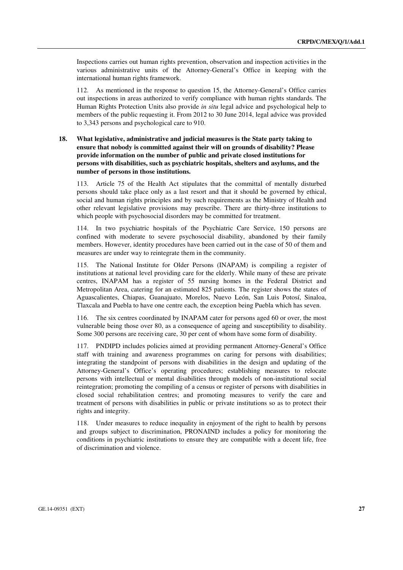Inspections carries out human rights prevention, observation and inspection activities in the various administrative units of the Attorney-General's Office in keeping with the international human rights framework.

112. As mentioned in the response to question 15, the Attorney-General's Office carries out inspections in areas authorized to verify compliance with human rights standards. The Human Rights Protection Units also provide *in situ* legal advice and psychological help to members of the public requesting it. From 2012 to 30 June 2014, legal advice was provided to 3,343 persons and psychological care to 910.

#### **18. What legislative, administrative and judicial measures is the State party taking to ensure that nobody is committed against their will on grounds of disability? Please provide information on the number of public and private closed institutions for persons with disabilities, such as psychiatric hospitals, shelters and asylums, and the number of persons in those institutions.**

113. Article 75 of the Health Act stipulates that the committal of mentally disturbed persons should take place only as a last resort and that it should be governed by ethical, social and human rights principles and by such requirements as the Ministry of Health and other relevant legislative provisions may prescribe. There are thirty-three institutions to which people with psychosocial disorders may be committed for treatment.

114. In two psychiatric hospitals of the Psychiatric Care Service, 150 persons are confined with moderate to severe psychosocial disability, abandoned by their family members. However, identity procedures have been carried out in the case of 50 of them and measures are under way to reintegrate them in the community.

115. The National Institute for Older Persons (INAPAM) is compiling a register of institutions at national level providing care for the elderly. While many of these are private centres, INAPAM has a register of 55 nursing homes in the Federal District and Metropolitan Area, catering for an estimated 825 patients. The register shows the states of Aguascalientes, Chiapas, Guanajuato, Morelos, Nuevo León, San Luis Potosí, Sinaloa, Tlaxcala and Puebla to have one centre each, the exception being Puebla which has seven.

116. The six centres coordinated by INAPAM cater for persons aged 60 or over, the most vulnerable being those over 80, as a consequence of ageing and susceptibility to disability. Some 300 persons are receiving care, 30 per cent of whom have some form of disability.

117. PNDIPD includes policies aimed at providing permanent Attorney-General's Office staff with training and awareness programmes on caring for persons with disabilities; integrating the standpoint of persons with disabilities in the design and updating of the Attorney-General's Office's operating procedures; establishing measures to relocate persons with intellectual or mental disabilities through models of non-institutional social reintegration; promoting the compiling of a census or register of persons with disabilities in closed social rehabilitation centres; and promoting measures to verify the care and treatment of persons with disabilities in public or private institutions so as to protect their rights and integrity.

118. Under measures to reduce inequality in enjoyment of the right to health by persons and groups subject to discrimination, PRONAIND includes a policy for monitoring the conditions in psychiatric institutions to ensure they are compatible with a decent life, free of discrimination and violence.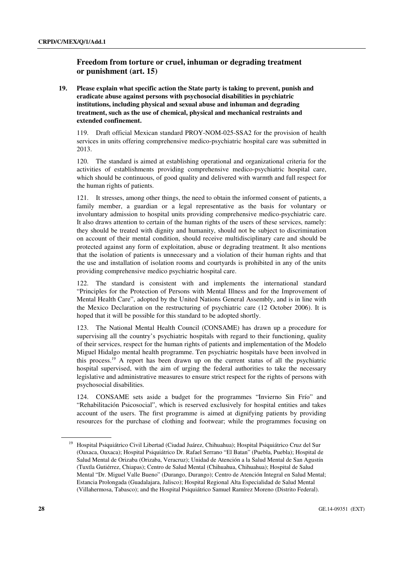## **Freedom from torture or cruel, inhuman or degrading treatment or punishment (art. 15)**

 **19. Please explain what specific action the State party is taking to prevent, punish and eradicate abuse against persons with psychosocial disabilities in psychiatric institutions, including physical and sexual abuse and inhuman and degrading treatment, such as the use of chemical, physical and mechanical restraints and extended confinement.** 

119. Draft official Mexican standard PROY-NOM-025-SSA2 for the provision of health services in units offering comprehensive medico-psychiatric hospital care was submitted in 2013.

120. The standard is aimed at establishing operational and organizational criteria for the activities of establishments providing comprehensive medico-psychiatric hospital care, which should be continuous, of good quality and delivered with warmth and full respect for the human rights of patients.

121. It stresses, among other things, the need to obtain the informed consent of patients, a family member, a guardian or a legal representative as the basis for voluntary or involuntary admission to hospital units providing comprehensive medico-psychiatric care. It also draws attention to certain of the human rights of the users of these services, namely: they should be treated with dignity and humanity, should not be subject to discrimination on account of their mental condition, should receive multidisciplinary care and should be protected against any form of exploitation, abuse or degrading treatment. It also mentions that the isolation of patients is unnecessary and a violation of their human rights and that the use and installation of isolation rooms and courtyards is prohibited in any of the units providing comprehensive medico psychiatric hospital care.

122. The standard is consistent with and implements the international standard "Principles for the Protection of Persons with Mental Illness and for the Improvement of Mental Health Care", adopted by the United Nations General Assembly, and is in line with the Mexico Declaration on the restructuring of psychiatric care (12 October 2006). It is hoped that it will be possible for this standard to be adopted shortly.

123. The National Mental Health Council (CONSAME) has drawn up a procedure for supervising all the country's psychiatric hospitals with regard to their functioning, quality of their services, respect for the human rights of patients and implementation of the Modelo Miguel Hidalgo mental health programme. Ten psychiatric hospitals have been involved in this process.<sup>19</sup> A report has been drawn up on the current status of all the psychiatric hospital supervised, with the aim of urging the federal authorities to take the necessary legislative and administrative measures to ensure strict respect for the rights of persons with psychosocial disabilities.

124. CONSAME sets aside a budget for the programmes "Invierno Sin Frío" and "Rehabilitación Psicosocial", which is reserved exclusively for hospital entities and takes account of the users. The first programme is aimed at dignifying patients by providing resources for the purchase of clothing and footwear; while the programmes focusing on

<sup>19</sup> Hospital Psiquiátrico Civil Libertad (Ciudad Juárez, Chihuahua); Hospital Psiquiátrico Cruz del Sur (Oaxaca, Oaxaca); Hospital Psiquiátrico Dr. Rafael Serrano "El Batan" (Puebla, Puebla); Hospital de Salud Mental de Orizaba (Orizaba, Veracruz); Unidad de Atención a la Salud Mental de San Agustín (Tuxtla Gutiérrez, Chiapas); Centro de Salud Mental (Chihuahua, Chihuahua); Hospital de Salud Mental "Dr. Miguel Valle Bueno" (Durango, Durango); Centro de Atención Integral en Salud Mental; Estancia Prolongada (Guadalajara, Jalisco); Hospital Regional Alta Especialidad de Salud Mental (Villahermosa, Tabasco); and the Hospital Psiquiátrico Samuel Ramírez Moreno (Distrito Federal).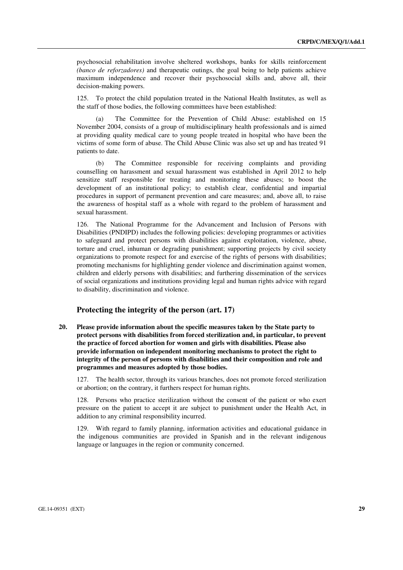psychosocial rehabilitation involve sheltered workshops, banks for skills reinforcement *(banco de reforzadores)* and therapeutic outings, the goal being to help patients achieve maximum independence and recover their psychosocial skills and, above all, their decision-making powers.

125. To protect the child population treated in the National Health Institutes, as well as the staff of those bodies, the following committees have been established:

 (a) The Committee for the Prevention of Child Abuse: established on 15 November 2004, consists of a group of multidisciplinary health professionals and is aimed at providing quality medical care to young people treated in hospital who have been the victims of some form of abuse. The Child Abuse Clinic was also set up and has treated 91 patients to date.

 (b) The Committee responsible for receiving complaints and providing counselling on harassment and sexual harassment was established in April 2012 to help sensitize staff responsible for treating and monitoring these abuses; to boost the development of an institutional policy; to establish clear, confidential and impartial procedures in support of permanent prevention and care measures; and, above all, to raise the awareness of hospital staff as a whole with regard to the problem of harassment and sexual harassment.

126. The National Programme for the Advancement and Inclusion of Persons with Disabilities (PNDIPD) includes the following policies: developing programmes or activities to safeguard and protect persons with disabilities against exploitation, violence, abuse, torture and cruel, inhuman or degrading punishment; supporting projects by civil society organizations to promote respect for and exercise of the rights of persons with disabilities; promoting mechanisms for highlighting gender violence and discrimination against women, children and elderly persons with disabilities; and furthering dissemination of the services of social organizations and institutions providing legal and human rights advice with regard to disability, discrimination and violence.

#### **Protecting the integrity of the person (art. 17)**

 **20. Please provide information about the specific measures taken by the State party to protect persons with disabilities from forced sterilization and, in particular, to prevent the practice of forced abortion for women and girls with disabilities. Please also provide information on independent monitoring mechanisms to protect the right to integrity of the person of persons with disabilities and their composition and role and programmes and measures adopted by those bodies.** 

127. The health sector, through its various branches, does not promote forced sterilization or abortion; on the contrary, it furthers respect for human rights.

128. Persons who practice sterilization without the consent of the patient or who exert pressure on the patient to accept it are subject to punishment under the Health Act, in addition to any criminal responsibility incurred.

129. With regard to family planning, information activities and educational guidance in the indigenous communities are provided in Spanish and in the relevant indigenous language or languages in the region or community concerned.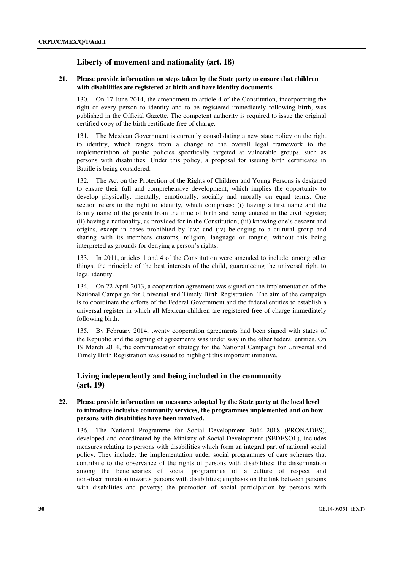## **Liberty of movement and nationality (art. 18)**

#### **21. Please provide information on steps taken by the State party to ensure that children with disabilities are registered at birth and have identity documents.**

130. On 17 June 2014, the amendment to article 4 of the Constitution, incorporating the right of every person to identity and to be registered immediately following birth, was published in the Official Gazette. The competent authority is required to issue the original certified copy of the birth certificate free of charge.

131. The Mexican Government is currently consolidating a new state policy on the right to identity, which ranges from a change to the overall legal framework to the implementation of public policies specifically targeted at vulnerable groups, such as persons with disabilities. Under this policy, a proposal for issuing birth certificates in Braille is being considered.

132. The Act on the Protection of the Rights of Children and Young Persons is designed to ensure their full and comprehensive development, which implies the opportunity to develop physically, mentally, emotionally, socially and morally on equal terms. One section refers to the right to identity, which comprises: (i) having a first name and the family name of the parents from the time of birth and being entered in the civil register; (ii) having a nationality, as provided for in the Constitution; (iii) knowing one's descent and origins, except in cases prohibited by law; and (iv) belonging to a cultural group and sharing with its members customs, religion, language or tongue, without this being interpreted as grounds for denying a person's rights.

133. In 2011, articles 1 and 4 of the Constitution were amended to include, among other things, the principle of the best interests of the child, guaranteeing the universal right to legal identity.

134. On 22 April 2013, a cooperation agreement was signed on the implementation of the National Campaign for Universal and Timely Birth Registration. The aim of the campaign is to coordinate the efforts of the Federal Government and the federal entities to establish a universal register in which all Mexican children are registered free of charge immediately following birth.

135. By February 2014, twenty cooperation agreements had been signed with states of the Republic and the signing of agreements was under way in the other federal entities. On 19 March 2014, the communication strategy for the National Campaign for Universal and Timely Birth Registration was issued to highlight this important initiative.

## **Living independently and being included in the community (art. 19)**

#### **22. Please provide information on measures adopted by the State party at the local level to introduce inclusive community services, the programmes implemented and on how persons with disabilities have been involved.**

136. The National Programme for Social Development 2014–2018 (PRONADES), developed and coordinated by the Ministry of Social Development (SEDESOL), includes measures relating to persons with disabilities which form an integral part of national social policy. They include: the implementation under social programmes of care schemes that contribute to the observance of the rights of persons with disabilities; the dissemination among the beneficiaries of social programmes of a culture of respect and non-discrimination towards persons with disabilities; emphasis on the link between persons with disabilities and poverty; the promotion of social participation by persons with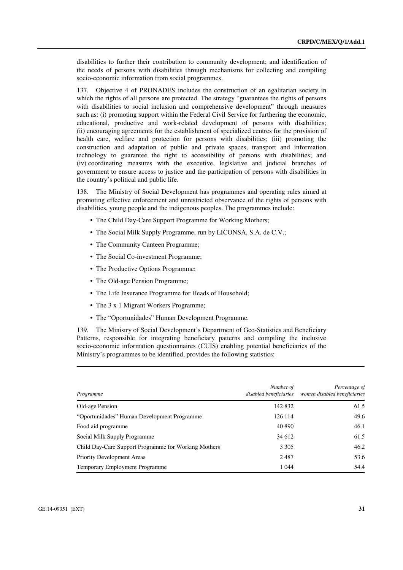disabilities to further their contribution to community development; and identification of the needs of persons with disabilities through mechanisms for collecting and compiling socio-economic information from social programmes.

137. Objective 4 of PRONADES includes the construction of an egalitarian society in which the rights of all persons are protected. The strategy "guarantees the rights of persons with disabilities to social inclusion and comprehensive development" through measures such as: (i) promoting support within the Federal Civil Service for furthering the economic, educational, productive and work-related development of persons with disabilities; (ii) encouraging agreements for the establishment of specialized centres for the provision of health care, welfare and protection for persons with disabilities; (iii) promoting the construction and adaptation of public and private spaces, transport and information technology to guarantee the right to accessibility of persons with disabilities; and (iv) coordinating measures with the executive, legislative and judicial branches of government to ensure access to justice and the participation of persons with disabilities in the country's political and public life.

138. The Ministry of Social Development has programmes and operating rules aimed at promoting effective enforcement and unrestricted observance of the rights of persons with disabilities, young people and the indigenous peoples. The programmes include:

- The Child Day-Care Support Programme for Working Mothers:
- The Social Milk Supply Programme, run by LICONSA, S.A. de C.V.;
- The Community Canteen Programme;
- The Social Co-investment Programme;
- The Productive Options Programme;
- The Old-age Pension Programme:
- The Life Insurance Programme for Heads of Household;
- The 3 x 1 Migrant Workers Programme;
- The "Oportunidades" Human Development Programme.

139. The Ministry of Social Development's Department of Geo-Statistics and Beneficiary Patterns, responsible for integrating beneficiary patterns and compiling the inclusive socio-economic information questionnaires (CUIS) enabling potential beneficiaries of the Ministry's programmes to be identified, provides the following statistics:

| Programme                                            | Number of<br>disabled beneficiaries | Percentage of<br>women disabled beneficiaries |
|------------------------------------------------------|-------------------------------------|-----------------------------------------------|
| Old-age Pension                                      | 142 832                             | 61.5                                          |
| "Oportunidades" Human Development Programme          | 126 114                             | 49.6                                          |
| Food aid programme                                   | 40 890                              | 46.1                                          |
| Social Milk Supply Programme                         | 34 612                              | 61.5                                          |
| Child Day-Care Support Programme for Working Mothers | 3 3 0 5                             | 46.2                                          |
| <b>Priority Development Areas</b>                    | 2487                                | 53.6                                          |
| <b>Temporary Employment Programme</b>                | 1 0 4 4                             | 54.4                                          |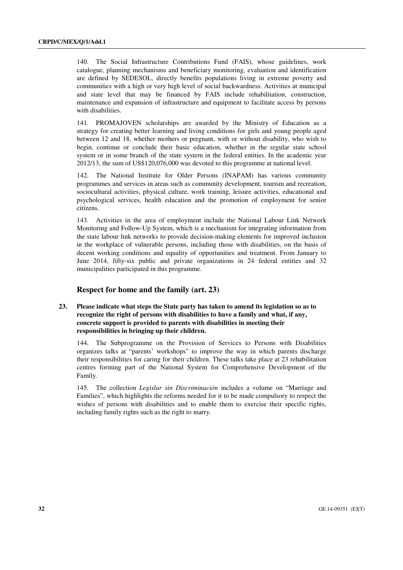140. The Social Infrastructure Contributions Fund (FAIS), whose guidelines, work catalogue, planning mechanisms and beneficiary monitoring, evaluation and identification are defined by SEDESOL, directly benefits populations living in extreme poverty and communities with a high or very high level of social backwardness. Activities at municipal and state level that may be financed by FAIS include rehabilitation, construction, maintenance and expansion of infrastructure and equipment to facilitate access by persons with disabilities.

141. PROMAJOVEN scholarships are awarded by the Ministry of Education as a strategy for creating better learning and living conditions for girls and young people aged between 12 and 18, whether mothers or pregnant, with or without disability, who wish to begin, continue or conclude their basic education, whether in the regular state school system or in some branch of the state system in the federal entities. In the academic year 2012/13, the sum of US\$120,076,000 was devoted to this programme at national level.

142. The National Institute for Older Persons (INAPAM) has various community programmes and services in areas such as community development, tourism and recreation, sociocultural activities, physical culture, work training, leisure activities, educational and psychological services, health education and the promotion of employment for senior citizens.

143. Activities in the area of employment include the National Labour Link Network Monitoring and Follow-Up System, which is a mechanism for integrating information from the state labour link networks to provide decision-making elements for improved inclusion in the workplace of vulnerable persons, including those with disabilities, on the basis of decent working conditions and equality of opportunities and treatment. From January to June 2014, fifty-six public and private organizations in 24 federal entities and 32 municipalities participated in this programme.

#### **Respect for home and the family (art. 23)**

 **23. Please indicate what steps the State party has taken to amend its legislation so as to recognize the right of persons with disabilities to have a family and what, if any, concrete support is provided to parents with disabilities in meeting their responsibilities in bringing up their children.** 

144. The Subprogramme on the Provision of Services to Persons with Disabilities organizes talks at "parents' workshops" to improve the way in which parents discharge their responsibilities for caring for their children. These talks take place at 23 rehabilitation centres forming part of the National System for Comprehensive Development of the Family.

145. The collection *Legislar sin Discriminación* includes a volume on "Marriage and Families", which highlights the reforms needed for it to be made compulsory to respect the wishes of persons with disabilities and to enable them to exercise their specific rights, including family rights such as the right to marry.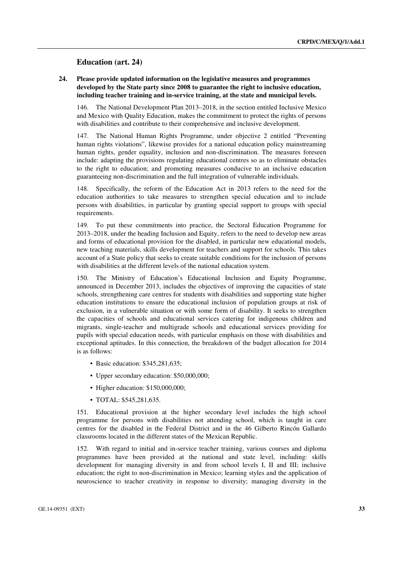#### **Education (art. 24)**

#### **24. Please provide updated information on the legislative measures and programmes developed by the State party since 2008 to guarantee the right to inclusive education, including teacher training and in-service training, at the state and municipal levels.**

146. The National Development Plan 2013–2018, in the section entitled Inclusive Mexico and Mexico with Quality Education, makes the commitment to protect the rights of persons with disabilities and contribute to their comprehensive and inclusive development.

147. The National Human Rights Programme, under objective 2 entitled "Preventing human rights violations", likewise provides for a national education policy mainstreaming human rights, gender equality, inclusion and non-discrimination. The measures foreseen include: adapting the provisions regulating educational centres so as to eliminate obstacles to the right to education; and promoting measures conducive to an inclusive education guaranteeing non-discrimination and the full integration of vulnerable individuals.

148. Specifically, the reform of the Education Act in 2013 refers to the need for the education authorities to take measures to strengthen special education and to include persons with disabilities, in particular by granting special support to groups with special requirements.

149. To put these commitments into practice, the Sectoral Education Programme for 2013–2018, under the heading Inclusion and Equity, refers to the need to develop new areas and forms of educational provision for the disabled, in particular new educational models, new teaching materials, skills development for teachers and support for schools. This takes account of a State policy that seeks to create suitable conditions for the inclusion of persons with disabilities at the different levels of the national education system.

150. The Ministry of Education's Educational Inclusion and Equity Programme, announced in December 2013, includes the objectives of improving the capacities of state schools, strengthening care centres for students with disabilities and supporting state higher education institutions to ensure the educational inclusion of population groups at risk of exclusion, in a vulnerable situation or with some form of disability. It seeks to strengthen the capacities of schools and educational services catering for indigenous children and migrants, single-teacher and multigrade schools and educational services providing for pupils with special education needs, with particular emphasis on those with disabilities and exceptional aptitudes. In this connection, the breakdown of the budget allocation for 2014 is as follows:

- Basic education: \$345,281,635;
- Upper secondary education: \$50,000,000;
- Higher education: \$150,000,000;
- TOTAL: \$545,281,635.

151. Educational provision at the higher secondary level includes the high school programme for persons with disabilities not attending school, which is taught in care centres for the disabled in the Federal District and in the 46 Gilberto Rincón Gallardo classrooms located in the different states of the Mexican Republic.

152. With regard to initial and in-service teacher training, various courses and diploma programmes have been provided at the national and state level, including: skills development for managing diversity in and from school levels I, II and III; inclusive education; the right to non-discrimination in Mexico; learning styles and the application of neuroscience to teacher creativity in response to diversity; managing diversity in the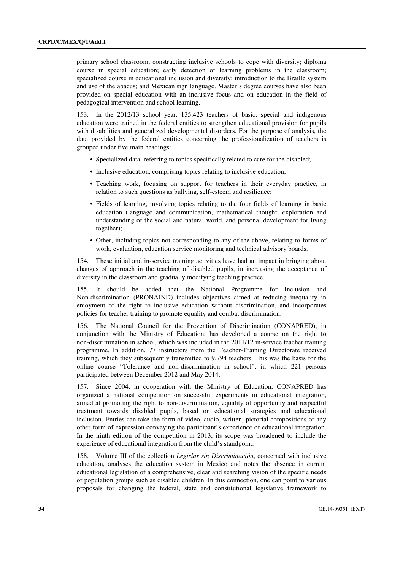primary school classroom; constructing inclusive schools to cope with diversity; diploma course in special education; early detection of learning problems in the classroom; specialized course in educational inclusion and diversity; introduction to the Braille system and use of the abacus; and Mexican sign language. Master's degree courses have also been provided on special education with an inclusive focus and on education in the field of pedagogical intervention and school learning.

153. In the 2012/13 school year, 135,423 teachers of basic, special and indigenous education were trained in the federal entities to strengthen educational provision for pupils with disabilities and generalized developmental disorders. For the purpose of analysis, the data provided by the federal entities concerning the professionalization of teachers is grouped under five main headings:

- Specialized data, referring to topics specifically related to care for the disabled;
- Inclusive education, comprising topics relating to inclusive education;
- Teaching work, focusing on support for teachers in their everyday practice, in relation to such questions as bullying, self-esteem and resilience;
- Fields of learning, involving topics relating to the four fields of learning in basic education (language and communication, mathematical thought, exploration and understanding of the social and natural world, and personal development for living together);
- Other, including topics not corresponding to any of the above, relating to forms of work, evaluation, education service monitoring and technical advisory boards.

154. These initial and in-service training activities have had an impact in bringing about changes of approach in the teaching of disabled pupils, in increasing the acceptance of diversity in the classroom and gradually modifying teaching practice.

155. It should be added that the National Programme for Inclusion and Non-discrimination (PRONAIND) includes objectives aimed at reducing inequality in enjoyment of the right to inclusive education without discrimination, and incorporates policies for teacher training to promote equality and combat discrimination.

156. The National Council for the Prevention of Discrimination (CONAPRED), in conjunction with the Ministry of Education, has developed a course on the right to non-discrimination in school, which was included in the 2011/12 in-service teacher training programme. In addition, 77 instructors from the Teacher-Training Directorate received training, which they subsequently transmitted to 9,794 teachers. This was the basis for the online course "Tolerance and non-discrimination in school", in which 221 persons participated between December 2012 and May 2014.

157. Since 2004, in cooperation with the Ministry of Education, CONAPRED has organized a national competition on successful experiments in educational integration, aimed at promoting the right to non-discrimination, equality of opportunity and respectful treatment towards disabled pupils, based on educational strategies and educational inclusion. Entries can take the form of video, audio, written, pictorial compositions or any other form of expression conveying the participant's experience of educational integration. In the ninth edition of the competition in 2013, its scope was broadened to include the experience of educational integration from the child's standpoint.

158. Volume III of the collection *Legislar sin Discriminación*, concerned with inclusive education, analyses the education system in Mexico and notes the absence in current educational legislation of a comprehensive, clear and searching vision of the specific needs of population groups such as disabled children. In this connection, one can point to various proposals for changing the federal, state and constitutional legislative framework to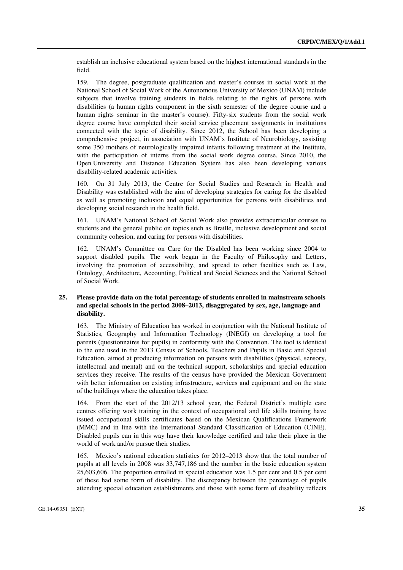establish an inclusive educational system based on the highest international standards in the field.

159. The degree, postgraduate qualification and master's courses in social work at the National School of Social Work of the Autonomous University of Mexico (UNAM) include subjects that involve training students in fields relating to the rights of persons with disabilities (a human rights component in the sixth semester of the degree course and a human rights seminar in the master's course). Fifty-six students from the social work degree course have completed their social service placement assignments in institutions connected with the topic of disability. Since 2012, the School has been developing a comprehensive project, in association with UNAM's Institute of Neurobiology, assisting some 350 mothers of neurologically impaired infants following treatment at the Institute, with the participation of interns from the social work degree course. Since 2010, the Open University and Distance Education System has also been developing various disability-related academic activities.

160. On 31 July 2013, the Centre for Social Studies and Research in Health and Disability was established with the aim of developing strategies for caring for the disabled as well as promoting inclusion and equal opportunities for persons with disabilities and developing social research in the health field.

161. UNAM's National School of Social Work also provides extracurricular courses to students and the general public on topics such as Braille, inclusive development and social community cohesion, and caring for persons with disabilities.

162. UNAM's Committee on Care for the Disabled has been working since 2004 to support disabled pupils. The work began in the Faculty of Philosophy and Letters, involving the promotion of accessibility, and spread to other faculties such as Law, Ontology, Architecture, Accounting, Political and Social Sciences and the National School of Social Work.

#### **25. Please provide data on the total percentage of students enrolled in mainstream schools and special schools in the period 2008–2013, disaggregated by sex, age, language and disability.**

163. The Ministry of Education has worked in conjunction with the National Institute of Statistics, Geography and Information Technology (INEGI) on developing a tool for parents (questionnaires for pupils) in conformity with the Convention. The tool is identical to the one used in the 2013 Census of Schools, Teachers and Pupils in Basic and Special Education, aimed at producing information on persons with disabilities (physical, sensory, intellectual and mental) and on the technical support, scholarships and special education services they receive. The results of the census have provided the Mexican Government with better information on existing infrastructure, services and equipment and on the state of the buildings where the education takes place.

164. From the start of the 2012/13 school year, the Federal District's multiple care centres offering work training in the context of occupational and life skills training have issued occupational skills certificates based on the Mexican Qualifications Framework (MMC) and in line with the International Standard Classification of Education (CINE). Disabled pupils can in this way have their knowledge certified and take their place in the world of work and/or pursue their studies.

165. Mexico's national education statistics for 2012–2013 show that the total number of pupils at all levels in 2008 was 33,747,186 and the number in the basic education system 25,603,606. The proportion enrolled in special education was 1.5 per cent and 0.5 per cent of these had some form of disability. The discrepancy between the percentage of pupils attending special education establishments and those with some form of disability reflects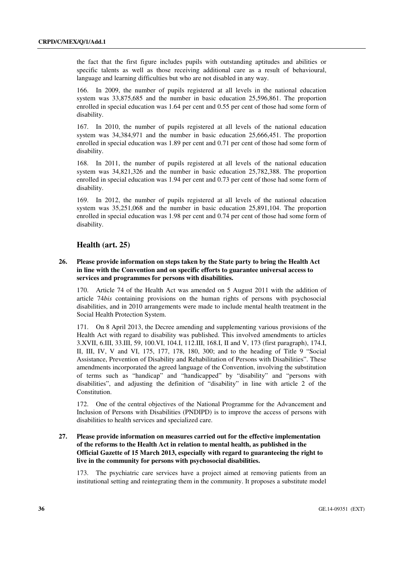the fact that the first figure includes pupils with outstanding aptitudes and abilities or specific talents as well as those receiving additional care as a result of behavioural, language and learning difficulties but who are not disabled in any way.

166. In 2009, the number of pupils registered at all levels in the national education system was 33,875,685 and the number in basic education 25,596,861. The proportion enrolled in special education was 1.64 per cent and 0.55 per cent of those had some form of disability.

167. In 2010, the number of pupils registered at all levels of the national education system was 34,384,971 and the number in basic education 25,666,451. The proportion enrolled in special education was 1.89 per cent and 0.71 per cent of those had some form of disability.

168. In 2011, the number of pupils registered at all levels of the national education system was 34,821,326 and the number in basic education 25,782,388. The proportion enrolled in special education was 1.94 per cent and 0.73 per cent of those had some form of disability.

169. In 2012, the number of pupils registered at all levels of the national education system was 35,251,068 and the number in basic education 25,891,104. The proportion enrolled in special education was 1.98 per cent and 0.74 per cent of those had some form of disability.

#### **Health (art. 25)**

#### **26. Please provide information on steps taken by the State party to bring the Health Act in line with the Convention and on specific efforts to guarantee universal access to services and programmes for persons with disabilities.**

170. Article 74 of the Health Act was amended on 5 August 2011 with the addition of article 74*bis* containing provisions on the human rights of persons with psychosocial disabilities, and in 2010 arrangements were made to include mental health treatment in the Social Health Protection System.

171. On 8 April 2013, the Decree amending and supplementing various provisions of the Health Act with regard to disability was published. This involved amendments to articles 3.XVII, 6.III, 33.III, 59, 100.VI, 104.I, 112.III, 168.I, II and V, 173 (first paragraph), 174.I, II, III, IV, V and VI, 175, 177, 178, 180, 300; and to the heading of Title 9 "Social Assistance, Prevention of Disability and Rehabilitation of Persons with Disabilities". These amendments incorporated the agreed language of the Convention, involving the substitution of terms such as "handicap" and "handicapped" by "disability" and "persons with disabilities", and adjusting the definition of "disability" in line with article 2 of the Constitution.

172. One of the central objectives of the National Programme for the Advancement and Inclusion of Persons with Disabilities (PNDIPD) is to improve the access of persons with disabilities to health services and specialized care.

#### **27. Please provide information on measures carried out for the effective implementation of the reforms to the Health Act in relation to mental health, as published in the Official Gazette of 15 March 2013, especially with regard to guaranteeing the right to live in the community for persons with psychosocial disabilities.**

173. The psychiatric care services have a project aimed at removing patients from an institutional setting and reintegrating them in the community. It proposes a substitute model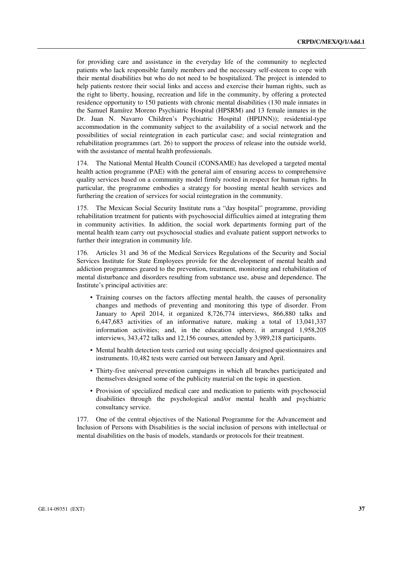for providing care and assistance in the everyday life of the community to neglected patients who lack responsible family members and the necessary self-esteem to cope with their mental disabilities but who do not need to be hospitalized. The project is intended to help patients restore their social links and access and exercise their human rights, such as the right to liberty, housing, recreation and life in the community, by offering a protected residence opportunity to 150 patients with chronic mental disabilities (130 male inmates in the Samuel Ramírez Moreno Psychiatric Hospital (HPSRM) and 13 female inmates in the Dr. Juan N. Navarro Children's Psychiatric Hospital (HPIJNN)); residential-type accommodation in the community subject to the availability of a social network and the possibilities of social reintegration in each particular case; and social reintegration and rehabilitation programmes (art. 26) to support the process of release into the outside world, with the assistance of mental health professionals.

174. The National Mental Health Council (CONSAME) has developed a targeted mental health action programme (PAE) with the general aim of ensuring access to comprehensive quality services based on a community model firmly rooted in respect for human rights. In particular, the programme embodies a strategy for boosting mental health services and furthering the creation of services for social reintegration in the community.

175. The Mexican Social Security Institute runs a "day hospital" programme, providing rehabilitation treatment for patients with psychosocial difficulties aimed at integrating them in community activities. In addition, the social work departments forming part of the mental health team carry out psychosocial studies and evaluate patient support networks to further their integration in community life.

176. Articles 31 and 36 of the Medical Services Regulations of the Security and Social Services Institute for State Employees provide for the development of mental health and addiction programmes geared to the prevention, treatment, monitoring and rehabilitation of mental disturbance and disorders resulting from substance use, abuse and dependence. The Institute's principal activities are:

- Training courses on the factors affecting mental health, the causes of personality changes and methods of preventing and monitoring this type of disorder. From January to April 2014, it organized 8,726,774 interviews, 866,880 talks and 6,447,683 activities of an informative nature, making a total of 13,041,337 information activities; and, in the education sphere, it arranged 1,958,205 interviews, 343,472 talks and 12,156 courses, attended by 3,989,218 participants.
- Mental health detection tests carried out using specially designed questionnaires and instruments. 10,482 tests were carried out between January and April.
- Thirty-five universal prevention campaigns in which all branches participated and themselves designed some of the publicity material on the topic in question.
- Provision of specialized medical care and medication to patients with psychosocial disabilities through the psychological and/or mental health and psychiatric consultancy service.

177. One of the central objectives of the National Programme for the Advancement and Inclusion of Persons with Disabilities is the social inclusion of persons with intellectual or mental disabilities on the basis of models, standards or protocols for their treatment.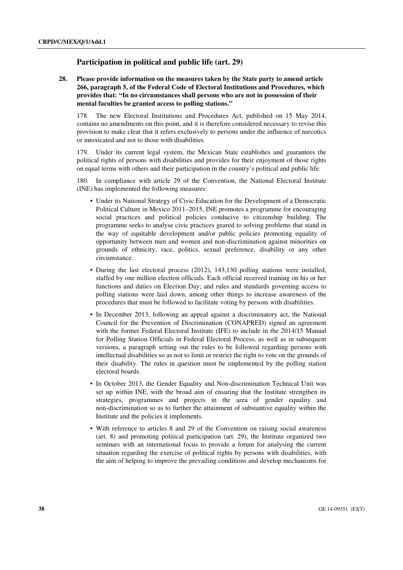## **Participation in political and public life (art. 29)**

 **28. Please provide information on the measures taken by the State party to amend article 266, paragraph 5, of the Federal Code of Electoral Institutions and Procedures, which provides that: "In no circumstances shall persons who are not in possession of their mental faculties be granted access to polling stations."** 

178. The new Electoral Institutions and Procedures Act, published on 15 May 2014, contains no amendments on this point, and it is therefore considered necessary to revise this provision to make clear that it refers exclusively to persons under the influence of narcotics or intoxicated and not to those with disabilities.

179. Under its current legal system, the Mexican State establishes and guarantees the political rights of persons with disabilities and provides for their enjoyment of those rights on equal terms with others and their participation in the country's political and public life.

180. In compliance with article 29 of the Convention, the National Electoral Institute (INE) has implemented the following measures:

- Under its National Strategy of Civic Education for the Development of a Democratic Political Culture in Mexico 2011–2015, INE promotes a programme for encouraging social practices and political policies conducive to citizenship building. The programme seeks to analyse civic practices geared to solving problems that stand in the way of equitable development and/or public policies promoting equality of opportunity between men and women and non-discrimination against minorities on grounds of ethnicity, race, politics, sexual preference, disability or any other circumstance.
- During the last electoral process (2012), 143,130 polling stations were installed, staffed by one million election officials. Each official received training on his or her functions and duties on Election Day; and rules and standards governing access to polling stations were laid down, among other things to increase awareness of the procedures that must be followed to facilitate voting by persons with disabilities.
- In December 2013, following an appeal against a discriminatory act, the National Council for the Prevention of Discrimination (CONAPRED) signed an agreement with the former Federal Electoral Institute (IFE) to include in the 2014/15 Manual for Polling Station Officials in Federal Electoral Process, as well as in subsequent versions, a paragraph setting out the rules to be followed regarding persons with intellectual disabilities so as not to limit or restrict the right to vote on the grounds of their disability. The rules in question must be implemented by the polling station electoral boards.
- In October 2013, the Gender Equality and Non-discrimination Technical Unit was set up within INE, with the broad aim of ensuring that the Institute strengthen its strategies, programmes and projects in the area of gender equality and non-discrimination so as to further the attainment of substantive equality within the Institute and the policies it implements.
- With reference to articles 8 and 29 of the Convention on raising social awareness (art. 8) and promoting political participation (art. 29), the Institute organized two seminars with an international focus to provide a forum for analysing the current situation regarding the exercise of political rights by persons with disabilities, with the aim of helping to improve the prevailing conditions and develop mechanisms for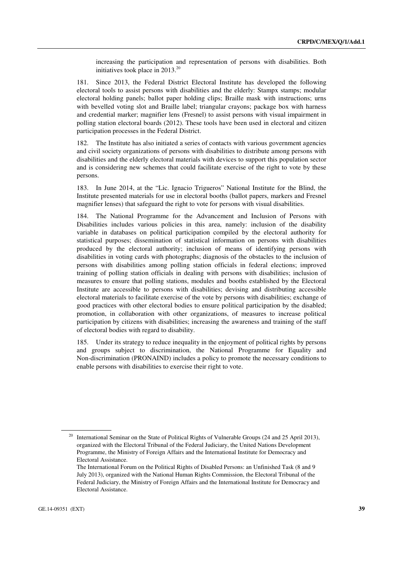increasing the participation and representation of persons with disabilities. Both initiatives took place in 2013.20

181. Since 2013, the Federal District Electoral Institute has developed the following electoral tools to assist persons with disabilities and the elderly: Stampx stamps; modular electoral holding panels; ballot paper holding clips; Braille mask with instructions; urns with bevelled voting slot and Braille label; triangular crayons; package box with harness and credential marker; magnifier lens (Fresnel) to assist persons with visual impairment in polling station electoral boards (2012). These tools have been used in electoral and citizen participation processes in the Federal District.

182. The Institute has also initiated a series of contacts with various government agencies and civil society organizations of persons with disabilities to distribute among persons with disabilities and the elderly electoral materials with devices to support this population sector and is considering new schemes that could facilitate exercise of the right to vote by these persons.

183. In June 2014, at the "Lic. Ignacio Trigueros" National Institute for the Blind, the Institute presented materials for use in electoral booths (ballot papers, markers and Fresnel magnifier lenses) that safeguard the right to vote for persons with visual disabilities.

184. The National Programme for the Advancement and Inclusion of Persons with Disabilities includes various policies in this area, namely: inclusion of the disability variable in databases on political participation compiled by the electoral authority for statistical purposes; dissemination of statistical information on persons with disabilities produced by the electoral authority; inclusion of means of identifying persons with disabilities in voting cards with photographs; diagnosis of the obstacles to the inclusion of persons with disabilities among polling station officials in federal elections; improved training of polling station officials in dealing with persons with disabilities; inclusion of measures to ensure that polling stations, modules and booths established by the Electoral Institute are accessible to persons with disabilities; devising and distributing accessible electoral materials to facilitate exercise of the vote by persons with disabilities; exchange of good practices with other electoral bodies to ensure political participation by the disabled; promotion, in collaboration with other organizations, of measures to increase political participation by citizens with disabilities; increasing the awareness and training of the staff of electoral bodies with regard to disability.

185. Under its strategy to reduce inequality in the enjoyment of political rights by persons and groups subject to discrimination, the National Programme for Equality and Non-discrimination (PRONAIND) includes a policy to promote the necessary conditions to enable persons with disabilities to exercise their right to vote.

<sup>&</sup>lt;sup>20</sup> International Seminar on the State of Political Rights of Vulnerable Groups (24 and 25 April 2013), organized with the Electoral Tribunal of the Federal Judiciary, the United Nations Development Programme, the Ministry of Foreign Affairs and the International Institute for Democracy and Electoral Assistance.

The International Forum on the Political Rights of Disabled Persons: an Unfinished Task (8 and 9 July 2013), organized with the National Human Rights Commission, the Electoral Tribunal of the Federal Judiciary, the Ministry of Foreign Affairs and the International Institute for Democracy and Electoral Assistance.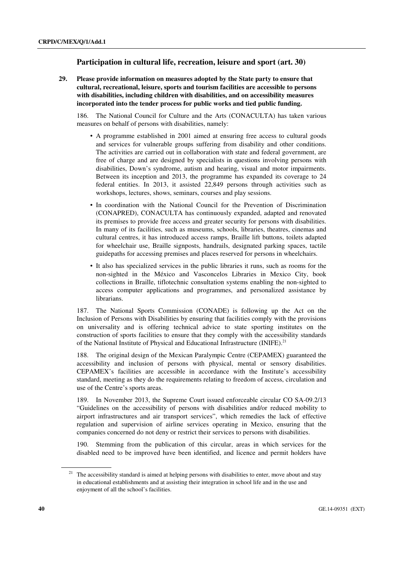## **Participation in cultural life, recreation, leisure and sport (art. 30)**

 **29. Please provide information on measures adopted by the State party to ensure that cultural, recreational, leisure, sports and tourism facilities are accessible to persons with disabilities, including children with disabilities, and on accessibility measures incorporated into the tender process for public works and tied public funding.** 

186. The National Council for Culture and the Arts (CONACULTA) has taken various measures on behalf of persons with disabilities, namely:

- A programme established in 2001 aimed at ensuring free access to cultural goods and services for vulnerable groups suffering from disability and other conditions. The activities are carried out in collaboration with state and federal government, are free of charge and are designed by specialists in questions involving persons with disabilities, Down's syndrome, autism and hearing, visual and motor impairments. Between its inception and 2013, the programme has expanded its coverage to 24 federal entities. In 2013, it assisted 22,849 persons through activities such as workshops, lectures, shows, seminars, courses and play sessions.
- In coordination with the National Council for the Prevention of Discrimination (CONAPRED), CONACULTA has continuously expanded, adapted and renovated its premises to provide free access and greater security for persons with disabilities. In many of its facilities, such as museums, schools, libraries, theatres, cinemas and cultural centres, it has introduced access ramps, Braille lift buttons, toilets adapted for wheelchair use, Braille signposts, handrails, designated parking spaces, tactile guidepaths for accessing premises and places reserved for persons in wheelchairs.
- It also has specialized services in the public libraries it runs, such as rooms for the non-sighted in the México and Vasconcelos Libraries in Mexico City, book collections in Braille, tiflotechnic consultation systems enabling the non-sighted to access computer applications and programmes, and personalized assistance by librarians.

187. The National Sports Commission (CONADE) is following up the Act on the Inclusion of Persons with Disabilities by ensuring that facilities comply with the provisions on universality and is offering technical advice to state sporting institutes on the construction of sports facilities to ensure that they comply with the accessibility standards of the National Institute of Physical and Educational Infrastructure (INIFE).<sup>21</sup>

188. The original design of the Mexican Paralympic Centre (CEPAMEX) guaranteed the accessibility and inclusion of persons with physical, mental or sensory disabilities. CEPAMEX's facilities are accessible in accordance with the Institute's accessibility standard, meeting as they do the requirements relating to freedom of access, circulation and use of the Centre's sports areas.

189. In November 2013, the Supreme Court issued enforceable circular CO SA-09.2/13 "Guidelines on the accessibility of persons with disabilities and/or reduced mobility to airport infrastructures and air transport services", which remedies the lack of effective regulation and supervision of airline services operating in Mexico, ensuring that the companies concerned do not deny or restrict their services to persons with disabilities.

190. Stemming from the publication of this circular, areas in which services for the disabled need to be improved have been identified, and licence and permit holders have

 $21$  The accessibility standard is aimed at helping persons with disabilities to enter, move about and stay in educational establishments and at assisting their integration in school life and in the use and enjoyment of all the school's facilities.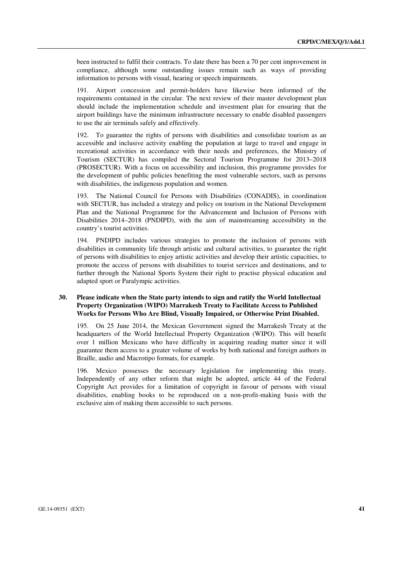been instructed to fulfil their contracts. To date there has been a 70 per cent improvement in compliance, although some outstanding issues remain such as ways of providing information to persons with visual, hearing or speech impairments.

191. Airport concession and permit-holders have likewise been informed of the requirements contained in the circular. The next review of their master development plan should include the implementation schedule and investment plan for ensuring that the airport buildings have the minimum infrastructure necessary to enable disabled passengers to use the air terminals safely and effectively.

192. To guarantee the rights of persons with disabilities and consolidate tourism as an accessible and inclusive activity enabling the population at large to travel and engage in recreational activities in accordance with their needs and preferences, the Ministry of Tourism (SECTUR) has compiled the Sectoral Tourism Programme for 2013–2018 (PROSECTUR). With a focus on accessibility and inclusion, this programme provides for the development of public policies benefiting the most vulnerable sectors, such as persons with disabilities, the indigenous population and women.

193. The National Council for Persons with Disabilities (CONADIS), in coordination with SECTUR, has included a strategy and policy on tourism in the National Development Plan and the National Programme for the Advancement and Inclusion of Persons with Disabilities 2014–2018 (PNDIPD), with the aim of mainstreaming accessibility in the country's tourist activities.

194. PNDIPD includes various strategies to promote the inclusion of persons with disabilities in community life through artistic and cultural activities, to guarantee the right of persons with disabilities to enjoy artistic activities and develop their artistic capacities, to promote the access of persons with disabilities to tourist services and destinations, and to further through the National Sports System their right to practise physical education and adapted sport or Paralympic activities.

#### **30. Please indicate when the State party intends to sign and ratify the World Intellectual Property Organization (WIPO) Marrakesh Treaty to Facilitate Access to Published Works for Persons Who Are Blind, Visually Impaired, or Otherwise Print Disabled.**

195. On 25 June 2014, the Mexican Government signed the Marrakesh Treaty at the headquarters of the World Intellectual Property Organization (WIPO). This will benefit over 1 million Mexicans who have difficulty in acquiring reading matter since it will guarantee them access to a greater volume of works by both national and foreign authors in Braille, audio and Macrotipo formats, for example.

196. Mexico possesses the necessary legislation for implementing this treaty. Independently of any other reform that might be adopted, article 44 of the Federal Copyright Act provides for a limitation of copyright in favour of persons with visual disabilities, enabling books to be reproduced on a non-profit-making basis with the exclusive aim of making them accessible to such persons.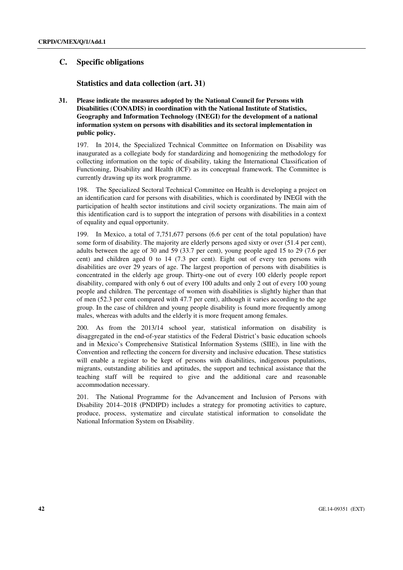## **C. Specific obligations**

 **Statistics and data collection (art. 31)** 

 **31. Please indicate the measures adopted by the National Council for Persons with Disabilities (CONADIS) in coordination with the National Institute of Statistics, Geography and Information Technology (INEGI) for the development of a national information system on persons with disabilities and its sectoral implementation in public policy.** 

197. In 2014, the Specialized Technical Committee on Information on Disability was inaugurated as a collegiate body for standardizing and homogenizing the methodology for collecting information on the topic of disability, taking the International Classification of Functioning, Disability and Health (ICF) as its conceptual framework. The Committee is currently drawing up its work programme.

198. The Specialized Sectoral Technical Committee on Health is developing a project on an identification card for persons with disabilities, which is coordinated by INEGI with the participation of health sector institutions and civil society organizations. The main aim of this identification card is to support the integration of persons with disabilities in a context of equality and equal opportunity.

199. In Mexico, a total of 7,751,677 persons (6.6 per cent of the total population) have some form of disability. The majority are elderly persons aged sixty or over (51.4 per cent), adults between the age of 30 and 59 (33.7 per cent), young people aged 15 to 29 (7.6 per cent) and children aged 0 to 14 (7.3 per cent). Eight out of every ten persons with disabilities are over 29 years of age. The largest proportion of persons with disabilities is concentrated in the elderly age group. Thirty-one out of every 100 elderly people report disability, compared with only 6 out of every 100 adults and only 2 out of every 100 young people and children. The percentage of women with disabilities is slightly higher than that of men (52.3 per cent compared with 47.7 per cent), although it varies according to the age group. In the case of children and young people disability is found more frequently among males, whereas with adults and the elderly it is more frequent among females.

200. As from the 2013/14 school year, statistical information on disability is disaggregated in the end-of-year statistics of the Federal District's basic education schools and in Mexico's Comprehensive Statistical Information Systems (SIIE), in line with the Convention and reflecting the concern for diversity and inclusive education. These statistics will enable a register to be kept of persons with disabilities, indigenous populations, migrants, outstanding abilities and aptitudes, the support and technical assistance that the teaching staff will be required to give and the additional care and reasonable accommodation necessary.

201. The National Programme for the Advancement and Inclusion of Persons with Disability 2014–2018 (PNDIPD) includes a strategy for promoting activities to capture, produce, process, systematize and circulate statistical information to consolidate the National Information System on Disability.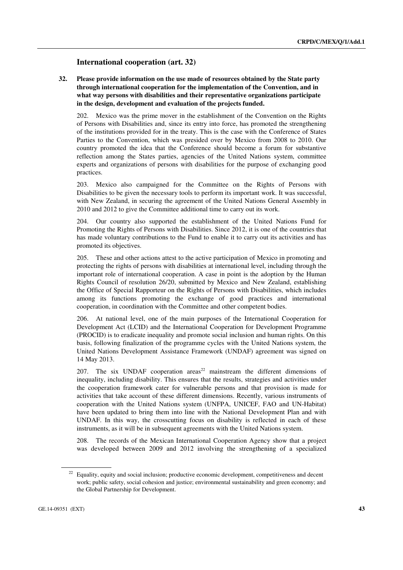## **International cooperation (art. 32)**

 **32. Please provide information on the use made of resources obtained by the State party through international cooperation for the implementation of the Convention, and in what way persons with disabilities and their representative organizations participate in the design, development and evaluation of the projects funded.** 

202. Mexico was the prime mover in the establishment of the Convention on the Rights of Persons with Disabilities and, since its entry into force, has promoted the strengthening of the institutions provided for in the treaty. This is the case with the Conference of States Parties to the Convention, which was presided over by Mexico from 2008 to 2010. Our country promoted the idea that the Conference should become a forum for substantive reflection among the States parties, agencies of the United Nations system, committee experts and organizations of persons with disabilities for the purpose of exchanging good practices.

203. Mexico also campaigned for the Committee on the Rights of Persons with Disabilities to be given the necessary tools to perform its important work. It was successful, with New Zealand, in securing the agreement of the United Nations General Assembly in 2010 and 2012 to give the Committee additional time to carry out its work.

204. Our country also supported the establishment of the United Nations Fund for Promoting the Rights of Persons with Disabilities. Since 2012, it is one of the countries that has made voluntary contributions to the Fund to enable it to carry out its activities and has promoted its objectives.

205. These and other actions attest to the active participation of Mexico in promoting and protecting the rights of persons with disabilities at international level, including through the important role of international cooperation. A case in point is the adoption by the Human Rights Council of resolution 26/20, submitted by Mexico and New Zealand, establishing the Office of Special Rapporteur on the Rights of Persons with Disabilities, which includes among its functions promoting the exchange of good practices and international cooperation, in coordination with the Committee and other competent bodies.

206. At national level, one of the main purposes of the International Cooperation for Development Act (LCID) and the International Cooperation for Development Programme (PROCID) is to eradicate inequality and promote social inclusion and human rights. On this basis, following finalization of the programme cycles with the United Nations system, the United Nations Development Assistance Framework (UNDAF) agreement was signed on 14 May 2013.

207. The six UNDAF cooperation areas<sup>22</sup> mainstream the different dimensions of inequality, including disability. This ensures that the results, strategies and activities under the cooperation framework cater for vulnerable persons and that provision is made for activities that take account of these different dimensions. Recently, various instruments of cooperation with the United Nations system (UNFPA, UNICEF, FAO and UN-Habitat) have been updated to bring them into line with the National Development Plan and with UNDAF. In this way, the crosscutting focus on disability is reflected in each of these instruments, as it will be in subsequent agreements with the United Nations system.

208. The records of the Mexican International Cooperation Agency show that a project was developed between 2009 and 2012 involving the strengthening of a specialized

<sup>&</sup>lt;sup>22</sup> Equality, equity and social inclusion; productive economic development, competitiveness and decent work; public safety, social cohesion and justice; environmental sustainability and green economy; and the Global Partnership for Development.